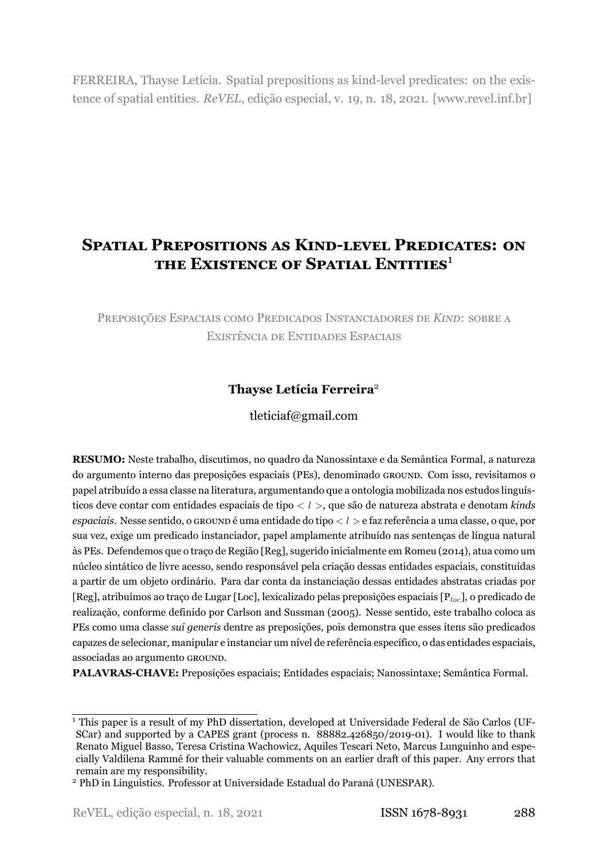FERREIRA, Thayse Letícia. Spatial prepositions as kind-level predicates: on the existence of spatial entities. *ReVEL*, edição especial, v. 19, n. 18, 2021. [www.revel.inf.br]

# **SPATIAL PREPOSITIONS AS KIND-LEVEL PREDICATES: ON THE EXISTENCE OF SPATIAL ENTITIES**[1](#page-0-0)

PREPOSIÇÕES ESPACIAIS COMO PREDICADOS INSTANCIADORES DE *KIND*: SOBRE A EXISTÊNCIA DE ENTIDADES ESPACIAIS

# **Thayse Letícia Ferreira**[2](#page-0-1)

# tleticiaf@gmail.com

**RESUMO:** Neste trabalho, discutimos, no quadro da Nanossintaxe e da Semântica Formal, a natureza do argumento interno das preposições espaciais (PEs), denominado GROUND. Com isso, revisitamos o papel atribuído a essa classe na literatura, argumentando que a ontologia mobilizada nos estudos linguísticos deve contar com entidades espaciais de tipo *< l >*, que são de natureza abstrata e denotam *kinds espaciais*. Nesse sentido, o GROUND é uma entidade do tipo *< l >* e faz referência a uma classe, o que, por sua vez, exige um predicado instanciador, papel amplamente atribuído nas sentenças de língua natural às PEs. Defendemos que o traço de Região [Reg], sugerido inicialmente em Romeu [\(2014\)](#page-34-0), atua como um núcleo sintático de livre acesso, sendo responsável pela criação dessas entidades espaciais, constituídas a partir de um objeto ordinário. Para dar conta da instanciação dessas entidades abstratas criadas por [Reg], atribuímos ao traço de Lugar [Loc], lexicalizado pelas preposições espaciais [P*loc*], o predicado de realização, conforme definido por [Carlson and Sussman](#page-33-0) [\(2005\)](#page-33-0). Nesse sentido, este trabalho coloca as PEs como uma classe *sui generis* dentre as preposições, pois demonstra que esses itens são predicados capazes de selecionar, manipular e instanciar um nível de referência específico, o das entidades espaciais, associadas ao argumento GROUND.

**PALAVRASCHAVE:** Preposições espaciais; Entidades espaciais; Nanossintaxe; Semântica Formal.

<span id="page-0-0"></span><sup>1</sup> This paper is a result of my PhD dissertation, developed at Universidade Federal de São Carlos (UF-SCar) and supported by a CAPES grant (process n. 88882.426850/2019-01). I would like to thank Renato Miguel Basso, Teresa Cristina Wachowicz, Aquiles Tescari Neto, Marcus Lunguinho and especially Valdilena Rammé for their valuable comments on an earlier draft of this paper. Any errors that remain are my responsibility.

<span id="page-0-1"></span><sup>2</sup> PhD in Linguistics. Professor at Universidade Estadual do Paraná (UNESPAR).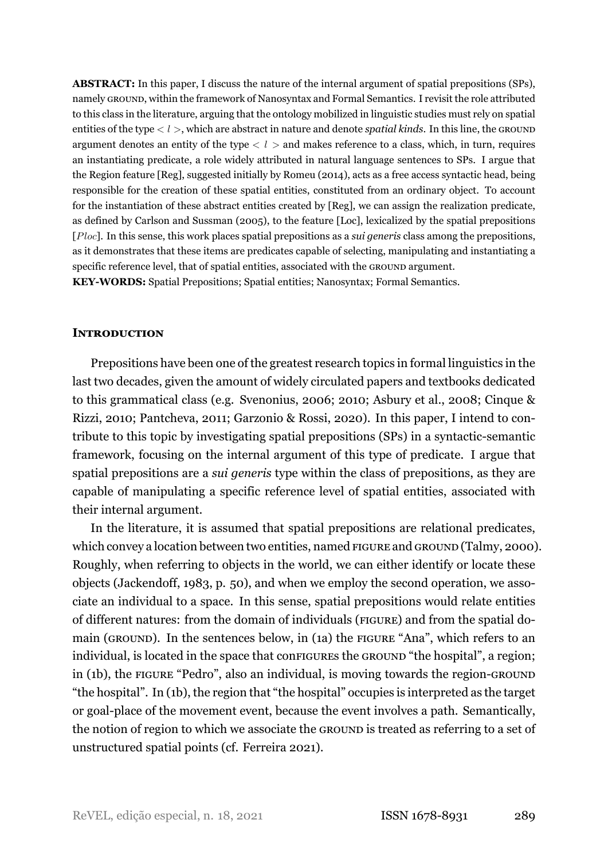**ABSTRACT:** In this paper, I discuss the nature of the internal argument of spatial prepositions (SPs), namely GROUND, within the framework of Nanosyntax and Formal Semantics. I revisit the role attributed to this class in the literature, arguing that the ontology mobilized in linguistic studies must rely on spatial entities of the type *< l >*, which are abstract in nature and denote *spatial kinds*. In this line, the GROUND argument denotes an entity of the type  $< l >$  and makes reference to a class, which, in turn, requires an instantiating predicate, a role widely attributed in natural language sentences to SPs. I argue that the Region feature [Reg], suggested initially by [Romeu](#page-34-0) [\(2014\)](#page-34-0), acts as a free access syntactic head, being responsible for the creation of these spatial entities, constituted from an ordinary object. To account for the instantiation of these abstract entities created by [Reg], we can assign the realization predicate, as defined by [Carlson and Sussman](#page-33-0) ([2005\)](#page-33-0), to the feature [Loc], lexicalized by the spatial prepositions [*Ploc*]. In this sense, this work places spatial prepositions as a *sui generis* class among the prepositions, as it demonstrates that these items are predicates capable of selecting, manipulating and instantiating a specific reference level, that of spatial entities, associated with the GROUND argument. **KEYWORDS:** Spatial Prepositions; Spatial entities; Nanosyntax; Formal Semantics.

## **INTRODUCTION**

Prepositions have been one of the greatest research topics in formal linguistics in the last two decades, given the amount of widely circulated papers and textbooks dedicated to this grammatical class (e.g. [Svenonius](#page-34-1), [2006](#page-34-1); [2010](#page-34-2); Asbury et al., [2008;](#page-32-0) Cinque & Rizzi, [2010;](#page-33-1) [Pantcheva](#page-34-3), [2011](#page-34-3); Garzonio & Rossi, [2020](#page-33-2)). In this paper, I intend to contribute to this topic by investigating spatial prepositions (SPs) in a syntactic-semantic framework, focusing on the internal argument of this type of predicate. I argue that spatial prepositions are a *sui generis* type within the class of prepositions, as they are capable of manipulating a specific reference level of spatial entities, associated with their internal argument.

In the literature, it is assumed that spatial prepositions are relational predicates, which convey a location between two entities, named FIGURE and GROUND([Talmy](#page-34-4), [2000](#page-34-4)). Roughly, when referring to objects in the world, we can either identify or locate these objects (Jackendoff, [1983](#page-33-3), p. 50), and when we employ the second operation, we associate an individual to a space. In this sense, spatial prepositions would relate entities of different natures: from the domain of individuals (FIGURE) and from the spatial domain (GROUND). In the sentences below, in (1a) the FIGURE "Ana", which refers to an individual, is located in the space that configures the GROUND "the hospital", a region; in (1b), the FIGURE "Pedro", also an individual, is moving towards the region-GROUND "the hospital". In (1b), the region that "the hospital" occupies is interpreted as the target or goal-place of the movement event, because the event involves a path. Semantically, the notion of region to which we associate the GROUND is treated as referring to a set of unstructured spatial points (cf. Ferreira [2021](#page-33-4)).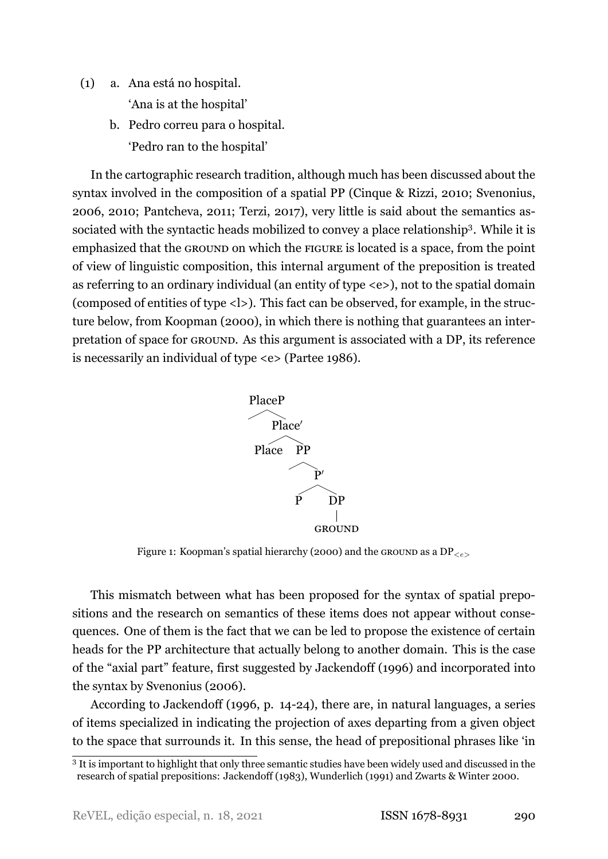- (1) a. Ana está no hospital. 'Ana is at the hospital'
	- b. Pedro correu para o hospital. 'Pedro ran to the hospital'

In the cartographic research tradition, although much has been discussed about the syntax involved in the composition of a spatial PP (Cinque & Rizzi, [2010;](#page-33-1) Svenonius, [2006,](#page-34-1) [2010;](#page-34-2) Pantcheva, [2011;](#page-34-3) Terzi, [2017\)](#page-34-5), very little is said about the semantics as-sociated with the syntactic heads mobilized to convey a place relationship<sup>[3](#page-2-0)</sup>. While it is emphasized that the GROUND on which the FIGURE is located is a space, from the point of view of linguistic composition, this internal argument of the preposition is treated as referring to an ordinary individual (an entity of type <e>), not to the spatial domain (composed of entities of type <l>). This fact can be observed, for example, in the structure below, from Koopman [\(2000](#page-33-5)), in which there is nothing that guarantees an interpretation of space for GROUND. As this argument is associated with a DP, its reference is necessarily an individual of type <e> (Partee [1986\)](#page-34-6).



Figure 1: Koopman's spatial hierarchy (2000) and the GROUND as a DP*<e>*

This mismatch between what has been proposed for the syntax of spatial prepositions and the research on semantics of these items does not appear without consequences. One of them is the fact that we can be led to propose the existence of certain heads for the PP architecture that actually belong to another domain. This is the case of the "axial part" feature, first suggested by [Jackendoff](#page-33-6) ([1996](#page-33-6)) and incorporated into the syntax by [Svenonius](#page-34-1) [\(2006](#page-34-1)).

According to Jackendoff (1996, p. 14-24), there are, in natural languages, a series of items specialized in indicating the projection of axes departing from a given object to the space that surrounds it. In this sense, the head of prepositional phrases like 'in

<span id="page-2-0"></span><sup>&</sup>lt;sup>3</sup> It is important to highlight that only three semantic studies have been widely used and discussed in the research of spatial prepositions: [Jackendoff](#page-33-3) [\(1983\)](#page-33-3), [Wunderlich](#page-35-0) ([1991](#page-35-0)) and Zwarts & Winter [2000.](#page-35-1)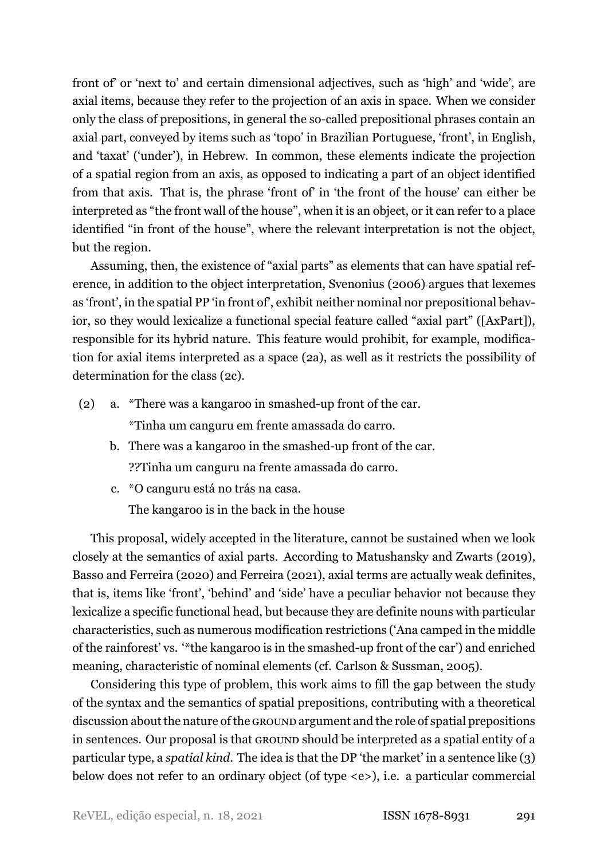front of' or 'next to' and certain dimensional adjectives, such as 'high' and 'wide', are axial items, because they refer to the projection of an axis in space. When we consider only the class of prepositions, in general the so-called prepositional phrases contain an axial part, conveyed by items such as 'topo' in Brazilian Portuguese, 'front', in English, and 'taxat' ('under'), in Hebrew. In common, these elements indicate the projection of a spatial region from an axis, as opposed to indicating a part of an object identified from that axis. That is, the phrase 'front of' in 'the front of the house' can either be interpreted as "the front wall of the house", when it is an object, or it can refer to a place identified "in front of the house", where the relevant interpretation is not the object, but the region.

Assuming, then, the existence of "axial parts" as elements that can have spatial reference, in addition to the object interpretation, Svenonius (2006) argues that lexemes as 'front', in the spatial PP 'in front of', exhibit neither nominal nor prepositional behavior, so they would lexicalize a functional special feature called "axial part" ([AxPart]), responsible for its hybrid nature. This feature would prohibit, for example, modification for axial items interpreted as a space([2a\)](#page-3-0), as well as it restricts the possibility of determination for the class([2c\)](#page-3-1).

<span id="page-3-0"></span>(2) a.  $*$ There was a kangaroo in smashed-up front of the car.

\*Tinha um canguru em frente amassada do carro.

- b. There was a kangaroo in the smashed-up front of the car. ??Tinha um canguru na frente amassada do carro.
- <span id="page-3-1"></span>c. \*O canguru está no trás na casa.

The kangaroo is in the back in the house

This proposal, widely accepted in the literature, cannot be sustained when we look closely at the semantics of axial parts. According to Matushansky and Zwarts([2019\)](#page-34-7), Basso and Ferreira [\(2020](#page-33-7)) and Ferreira [\(2021\)](#page-33-4), axial terms are actually weak definites, that is, items like 'front', 'behind' and 'side' have a peculiar behavior not because they lexicalize a specific functional head, but because they are definite nouns with particular characteristics, such as numerous modification restrictions ('Ana camped in the middle of the rainforest' vs. "\*the kangaroo is in the smashed-up front of the car') and enriched meaning, characteristic of nominal elements (cf. Carlson & Sussman, [2005](#page-33-0)).

Considering this type of problem, this work aims to fill the gap between the study of the syntax and the semantics of spatial prepositions, contributing with a theoretical discussion about the nature of the GROUND argument and the role of spatial prepositions in sentences. Our proposal is that GROUND should be interpreted as a spatial entity of a particular type, a *spatial kind*. The idea is that the DP 'the market' in a sentence like (3) below does not refer to an ordinary object (of type <e>), i.e. a particular commercial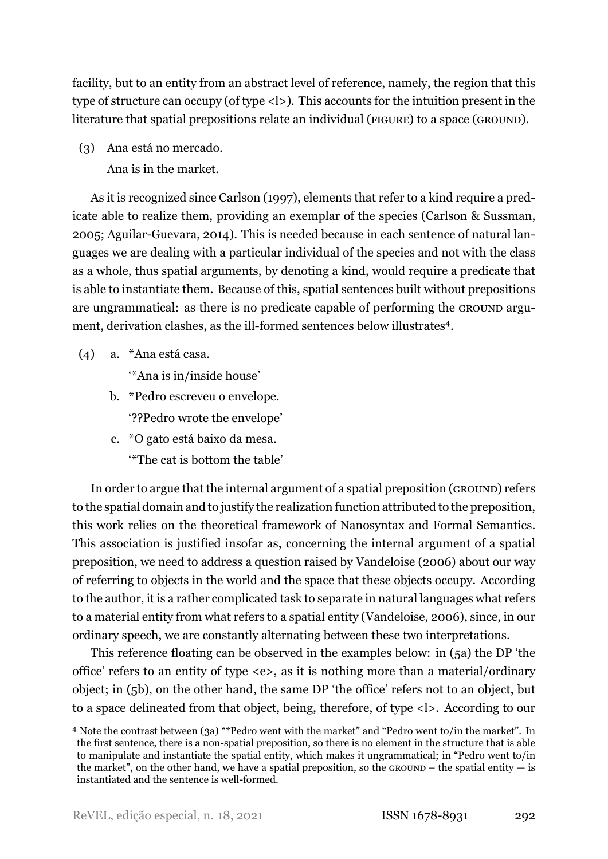facility, but to an entity from an abstract level of reference, namely, the region that this type of structure can occupy (of type <l>). This accounts for the intuition present in the literature that spatial prepositions relate an individual (FIGURE) to a space (GROUND).

(3) Ana está no mercado. Ana is in the market.

As it is recognized since Carlson (1997), elements that refer to a kind require a predicate able to realize them, providing an exemplar of the species (Carlson & Sussman, [2005;](#page-33-0) Aguilar-Guevara, [2014\)](#page-32-1). This is needed because in each sentence of natural languages we are dealing with a particular individual of the species and not with the class as a whole, thus spatial arguments, by denoting a kind, would require a predicate that is able to instantiate them. Because of this, spatial sentences built without prepositions are ungrammatical: as there is no predicate capable of performing the GROUND argu-ment, derivation clashes, as the ill-formed sentences below illustrates<sup>[4](#page-4-0)</sup>.

- (4) a. \*Ana está casa.
	- '\*Ana is in/inside house'
	- b. \*Pedro escreveu o envelope. '??Pedro wrote the envelope'
	- c. \*O gato está baixo da mesa. '\*The cat is bottom the table'

In order to argue that the internal argument of a spatial preposition (GROUND) refers to the spatial domain and to justify the realization function attributed to the preposition, this work relies on the theoretical framework of Nanosyntax and Formal Semantics. This association is justified insofar as, concerning the internal argument of a spatial preposition, we need to address a question raised by Vandeloise (2006) about our way of referring to objects in the world and the space that these objects occupy. According to the author, it is a rather complicated task to separate in natural languages what refers to a material entity from what refers to a spatial entity [\(Vandeloise](#page-34-8), [2006](#page-34-8)), since, in our ordinary speech, we are constantly alternating between these two interpretations.

This reference floating can be observed in the examples below: in([5a](#page-5-0)) the DP 'the office' refers to an entity of type <e>, as it is nothing more than a material/ordinary object; in [\(5b](#page-5-1)), on the other hand, the same DP 'the office' refers not to an object, but to a space delineated from that object, being, therefore, of type <l>. According to our

<span id="page-4-0"></span><sup>4</sup> Note the contrast between (3a) "\*Pedro went with the market" and "Pedro went to/in the market". In the first sentence, there is a non-spatial preposition, so there is no element in the structure that is able to manipulate and instantiate the spatial entity, which makes it ungrammatical; in "Pedro went to/in the market", on the other hand, we have a spatial preposition, so the GROUND – the spatial entity  $-$  is instantiated and the sentence is well-formed.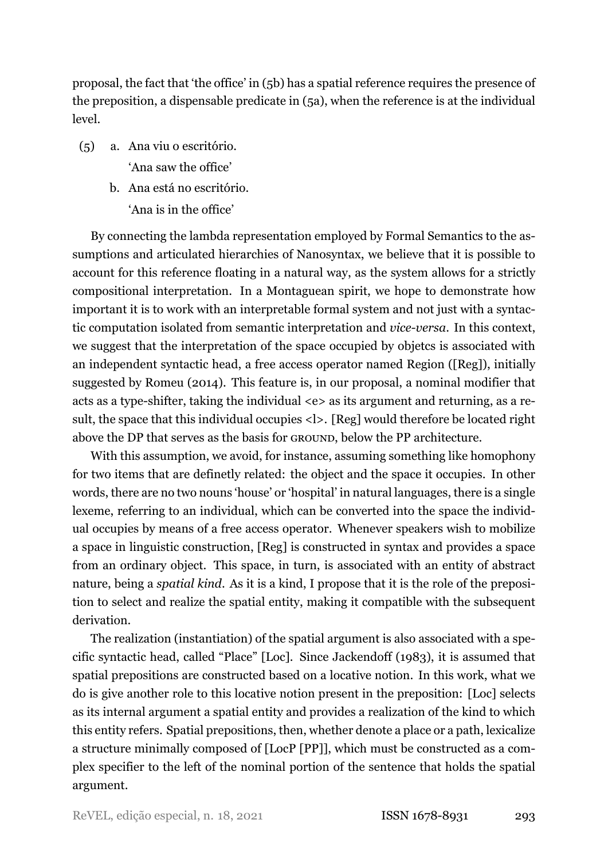proposal, the fact that 'the office' in [\(5b](#page-5-1)) has a spatial reference requires the presence of the preposition, a dispensable predicate in([5a](#page-5-0)), when the reference is at the individual level.

- <span id="page-5-1"></span><span id="page-5-0"></span>(5) a. Ana viu o escritório. 'Ana saw the office'
	- b. Ana está no escritório. 'Ana is in the office'

By connecting the lambda representation employed by Formal Semantics to the assumptions and articulated hierarchies of Nanosyntax, we believe that it is possible to account for this reference floating in a natural way, as the system allows for a strictly compositional interpretation. In a Montaguean spirit, we hope to demonstrate how important it is to work with an interpretable formal system and not just with a syntactic computation isolated from semantic interpretation and *vice-versa*. In this context, we suggest that the interpretation of the space occupied by objetcs is associated with an independent syntactic head, a free access operator named Region ([Reg]), initially suggested by [Romeu](#page-34-0) ([2014\)](#page-34-0). This feature is, in our proposal, a nominal modifier that acts as a type-shifter, taking the individual  $\langle e \rangle$  as its argument and returning, as a result, the space that this individual occupies <l>. [Reg] would therefore be located right above the DP that serves as the basis for GROUND, below the PP architecture.

With this assumption, we avoid, for instance, assuming something like homophony for two items that are definetly related: the object and the space it occupies. In other words, there are no two nouns 'house' or 'hospital' in natural languages, there is a single lexeme, referring to an individual, which can be converted into the space the individual occupies by means of a free access operator. Whenever speakers wish to mobilize a space in linguistic construction, [Reg] is constructed in syntax and provides a space from an ordinary object. This space, in turn, is associated with an entity of abstract nature, being a *spatial kind*. As it is a kind, I propose that it is the role of the preposition to select and realize the spatial entity, making it compatible with the subsequent derivation.

The realization (instantiation) of the spatial argument is also associated with a specific syntactic head, called "Place" [Loc]. Since [Jackendoff](#page-33-3) ([1983\)](#page-33-3), it is assumed that spatial prepositions are constructed based on a locative notion. In this work, what we do is give another role to this locative notion present in the preposition: [Loc] selects as its internal argument a spatial entity and provides a realization of the kind to which this entity refers. Spatial prepositions, then, whether denote a place or a path, lexicalize a structure minimally composed of [LocP [PP]], which must be constructed as a complex specifier to the left of the nominal portion of the sentence that holds the spatial argument.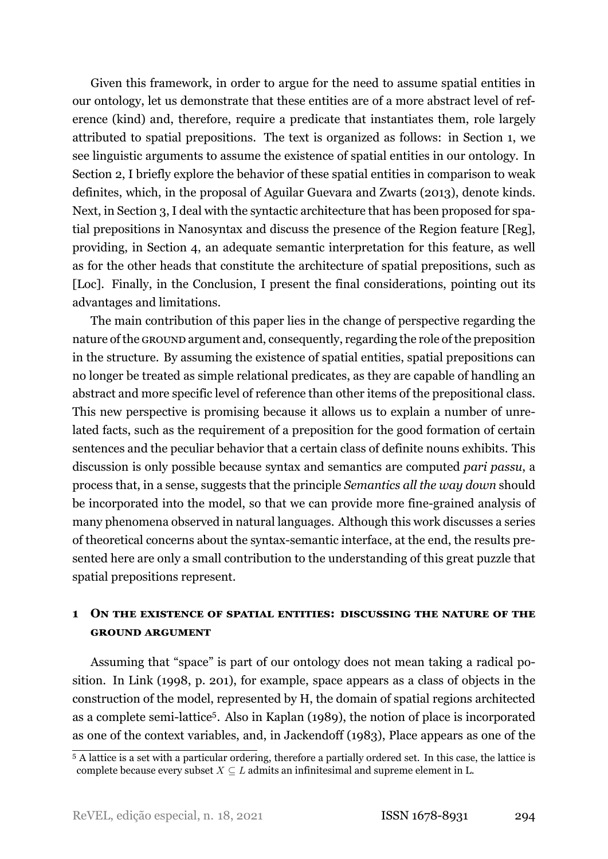Given this framework, in order to argue for the need to assume spatial entities in our ontology, let us demonstrate that these entities are of a more abstract level of reference (kind) and, therefore, require a predicate that instantiates them, role largely attributed to spatial prepositions. The text is organized as follows: in Section [1](#page-6-0), we see linguistic arguments to assume the existence of spatial entities in our ontology. In Section [2,](#page-10-0) I briefly explore the behavior of these spatial entities in comparison to weak definites, which, in the proposal of [Aguilar Guevara and Zwarts](#page-32-2) ([2013\)](#page-32-2), denote kinds. Next, in Section [3,](#page-19-0) I deal with the syntactic architecture that has been proposed for spatial prepositions in Nanosyntax and discuss the presence of the Region feature [Reg], providing, in Section [4,](#page-25-0) an adequate semantic interpretation for this feature, as well as for the other heads that constitute the architecture of spatial prepositions, such as [Loc]. Finally, in the Conclusion, I present the final considerations, pointing out its advantages and limitations.

The main contribution of this paper lies in the change of perspective regarding the nature of the GROUND argument and, consequently, regarding the role of the preposition in the structure. By assuming the existence of spatial entities, spatial prepositions can no longer be treated as simple relational predicates, as they are capable of handling an abstract and more specific level of reference than other items of the prepositional class. This new perspective is promising because it allows us to explain a number of unrelated facts, such as the requirement of a preposition for the good formation of certain sentences and the peculiar behavior that a certain class of definite nouns exhibits. This discussion is only possible because syntax and semantics are computed *pari passu*, a process that, in a sense, suggests that the principle *Semantics all the way down* should be incorporated into the model, so that we can provide more fine-grained analysis of many phenomena observed in natural languages. Although this work discusses a series of theoretical concerns about the syntax-semantic interface, at the end, the results presented here are only a small contribution to the understanding of this great puzzle that spatial prepositions represent.

# <span id="page-6-0"></span>**1 ON THE EXISTENCE OF SPATIAL ENTITIES: DISCUSSING THE NATURE OF THE GROUND ARGUMENT**

Assuming that "space" is part of our ontology does not mean taking a radical position. In [Link](#page-33-8) [\(1998,](#page-33-8) p. 201), for example, space appears as a class of objects in the construction of the model, represented by H, the domain of spatial regions architected as a complete semi-lattice<sup>[5](#page-6-1)</sup>. Also in Kaplan (1989), the notion of place is incorporated as one of the context variables, and, in Jackendoff (1983), Place appears as one of the

<span id="page-6-1"></span><sup>5</sup> A lattice is a set with a particular ordering, therefore a partially ordered set. In this case, the lattice is complete because every subset  $X \subseteq L$  admits an infinitesimal and supreme element in L.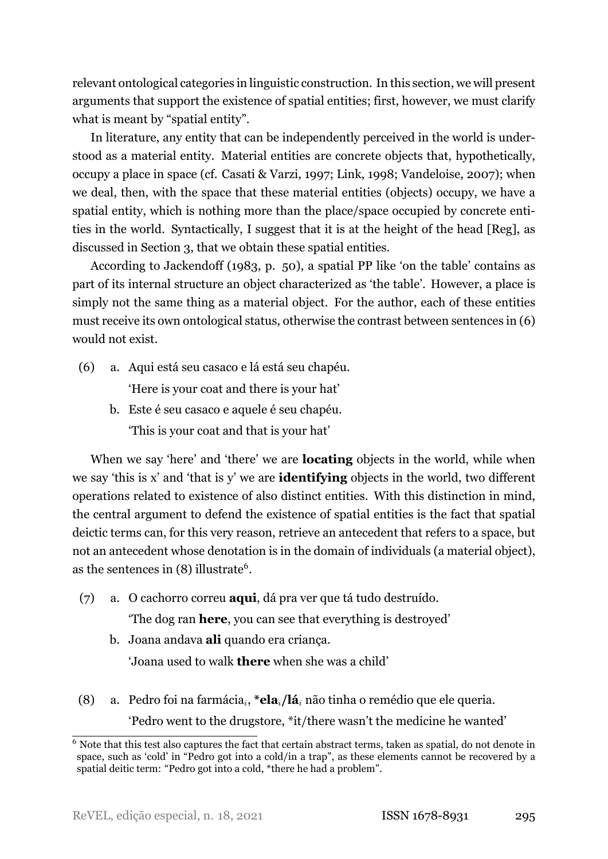relevant ontological categories in linguistic construction. In this section, we will present arguments that support the existence of spatial entities; first, however, we must clarify what is meant by "spatial entity".

In literature, any entity that can be independently perceived in the world is understood as a material entity. Material entities are concrete objects that, hypothetically, occupy a place in space (cf. Casati & Varzi, [1997](#page-33-9); Link, 1998; Vandeloise, 2007); when we deal, then, with the space that these material entities (objects) occupy, we have a spatial entity, which is nothing more than the place/space occupied by concrete entities in the world. Syntactically, I suggest that it is at the height of the head [Reg], as discussed in Section [3,](#page-19-0) that we obtain these spatial entities.

According to Jackendoff (1983, p. 50), a spatial PP like 'on the table' contains as part of its internal structure an object characterized as 'the table'. However, a place is simply not the same thing as a material object. For the author, each of these entities must receive its own ontological status, otherwise the contrast between sentences in [\(6\)](#page-7-0) would not exist.

<span id="page-7-0"></span>(6) a. Aqui está seu casaco e lá está seu chapéu.

'Here is your coat and there is your hat'

b. Este é seu casaco e aquele é seu chapéu. 'This is your coat and that is your hat'

When we say 'here' and 'there' we are **locating** objects in the world, while when we say 'this is x' and 'that is y' we are **identifying** objects in the world, two different operations related to existence of also distinct entities. With this distinction in mind, the central argument to defend the existence of spatial entities is the fact that spatial deictic terms can, for this very reason, retrieve an antecedent that refers to a space, but not an antecedent whose denotation is in the domain of individuals (a material object), as the sentences in (8) illustrate<sup>[6](#page-7-1)</sup>.

- (7) a. O cachorro correu **aqui**, dá pra ver que tá tudo destruído. 'The dog ran **here**, you can see that everything is destroyed'
	- b. Joana andava **ali** quando era criança. 'Joana used to walk **there** when she was a child'
- (8) a. Pedro foi na farmácia*<sup>i</sup>* , **\*ela***i***/lá***<sup>i</sup>* não tinha o remédio que ele queria. 'Pedro went to the drugstore, \*it/there wasn't the medicine he wanted'

<span id="page-7-1"></span><sup>&</sup>lt;sup>6</sup> Note that this test also captures the fact that certain abstract terms, taken as spatial, do not denote in space, such as 'cold' in "Pedro got into a cold/in a trap", as these elements cannot be recovered by a spatial deitic term: "Pedro got into a cold, \*there he had a problem".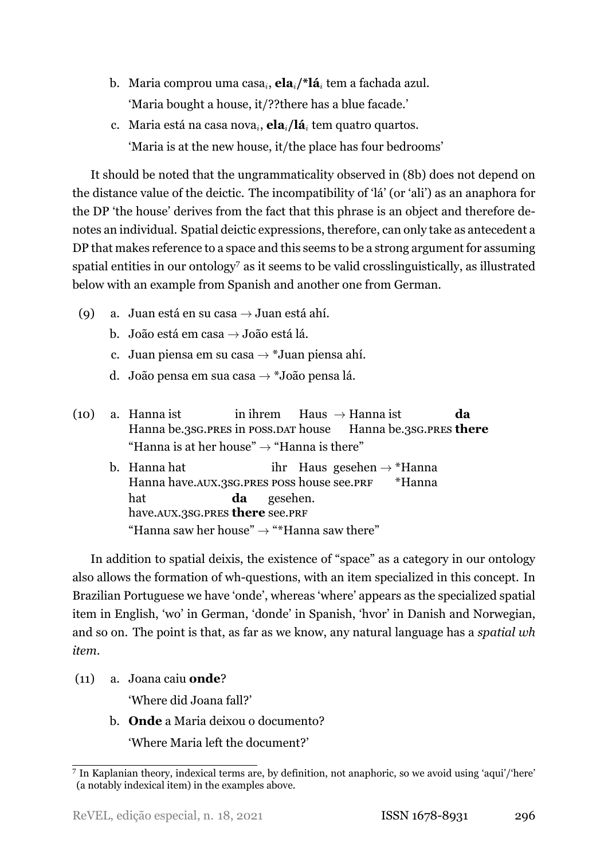- <span id="page-8-0"></span>b. Maria comprou uma casa*<sup>i</sup>* , **ela***i***/\*lá***<sup>i</sup>* tem a fachada azul. 'Maria bought a house, it/??there has a blue facade.'
- c. Maria está na casa nova*<sup>i</sup>* , **ela***i***/lá***<sup>i</sup>* tem quatro quartos. 'Maria is at the new house, it/the place has four bedrooms'

It should be noted that the ungrammaticality observed in([8b\)](#page-8-0) does not depend on the distance value of the deictic. The incompatibility of 'lá' (or 'ali') as an anaphora for the DP 'the house' derives from the fact that this phrase is an object and therefore denotes an individual. Spatial deictic expressions, therefore, can only take as antecedent a DP that makes reference to a space and this seems to be a strong argument for assuming spatial entities in our ontology<sup> $7$ </sup> as it seems to be valid crosslinguistically, as illustrated below with an example from Spanish and another one from German.

- <span id="page-8-2"></span>(9) a. Juan está en su casa *→* Juan está ahí.
	- b. João está em casa *→* João está lá.
	- c. Juan piensa em su casa *→* \*Juan piensa ahí.
	- d. João pensa em sua casa *→* \*João pensa lá.
- <span id="page-8-3"></span>(10) a. Hanna ist Hanna be.3SG.PRES in POSS.DAT house in ihrem Haus *→* Hanna ist Hanna be.3SG.PRES **there da** "Hanna is at her house" *→* "Hanna is there"
	- b. Hanna hat Hanna have.AUX.3SG.PRES POSS house see.PRF ihr Haus gesehen *→* \*Hanna \*Hanna hat have.AUX.3SG.PRES **there** see.PRF **da** gesehen. "Hanna saw her house" *→* "\*Hanna saw there"

In addition to spatial deixis, the existence of "space" as a category in our ontology also allows the formation of wh-questions, with an item specialized in this concept. In Brazilian Portuguese we have 'onde', whereas 'where' appears as the specialized spatial item in English, 'wo' in German, 'donde' in Spanish, 'hvor' in Danish and Norwegian, and so on. The point is that, as far as we know, any natural language has a *spatial wh item*.

(11) a. Joana caiu **onde**?

'Where did Joana fall?'

b. **Onde** a Maria deixou o documento? 'Where Maria left the document?'

<span id="page-8-1"></span><sup>7</sup> In Kaplanian theory, indexical terms are, by definition, not anaphoric, so we avoid using 'aqui'/'here' (a notably indexical item) in the examples above.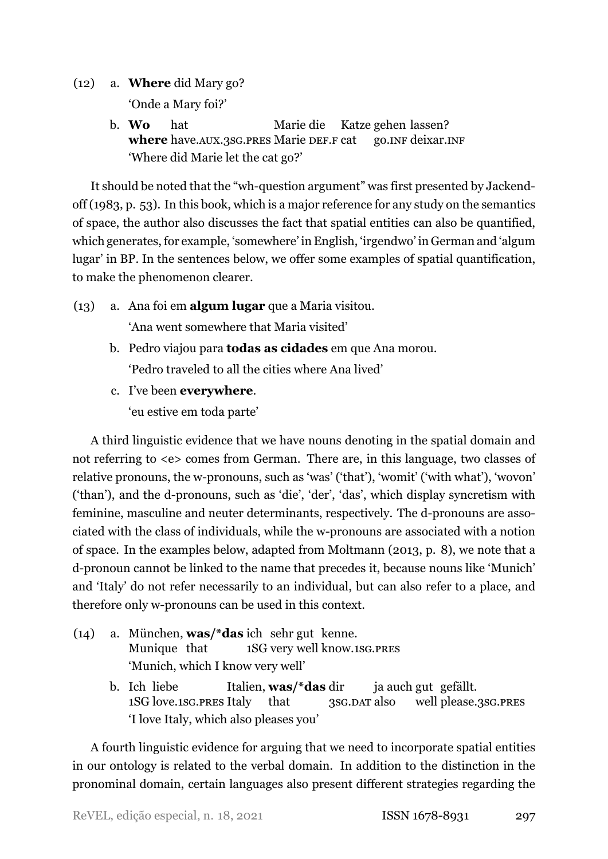- (12) a. **Where** did Mary go? 'Onde a Mary foi?'
	- b. **Wo where** have.AUX.3SG.PRES Marie DEF.F cat hat Marie die Katze gehen lassen? go.INF deixar.INF 'Where did Marie let the cat go?'

It should be noted that the "wh-question argument" was first presented by Jackendoff (1983, p. 53). In this book, which is a major reference for any study on the semantics of space, the author also discusses the fact that spatial entities can also be quantified, which generates, for example, 'somewhere' in English, 'irgendwo' in German and 'algum lugar' in BP. In the sentences below, we offer some examples of spatial quantification, to make the phenomenon clearer.

- (13) a. Ana foi em **algum lugar** que a Maria visitou. 'Ana went somewhere that Maria visited'
	- b. Pedro viajou para **todas as cidades** em que Ana morou. 'Pedro traveled to all the cities where Ana lived'
	- c. I've been **everywhere**.

'eu estive em toda parte'

A third linguistic evidence that we have nouns denoting in the spatial domain and not referring to <e> comes from German. There are, in this language, two classes of relative pronouns, the w-pronouns, such as 'was' ('that'), 'womit' ('with what'), 'wovon'  $('than')$ , and the d-pronouns, such as 'die', 'der', 'das', which display syncretism with feminine, masculine and neuter determinants, respectively. The d-pronouns are associated with the class of individuals, while the w-pronouns are associated with a notion of space. In the examples below, adapted from Moltmann([2013](#page-34-9), p. 8), we note that a d-pronoun cannot be linked to the name that precedes it, because nouns like 'Munich' and 'Italy' do not refer necessarily to an individual, but can also refer to a place, and therefore only w-pronouns can be used in this context.

- (14) a. München, **was/\*das** ich sehr gut kenne. Munique that 1SG very well know.1SG.PRES 'Munich, which I know very well'
	- b. Ich liebe 1SG love.1SG.PRES Italy Italien, **was/\*das** dir that 3SG.DAT also ja auch gut gefällt. well please.3SG.PRES 'I love Italy, which also pleases you'

A fourth linguistic evidence for arguing that we need to incorporate spatial entities in our ontology is related to the verbal domain. In addition to the distinction in the pronominal domain, certain languages also present different strategies regarding the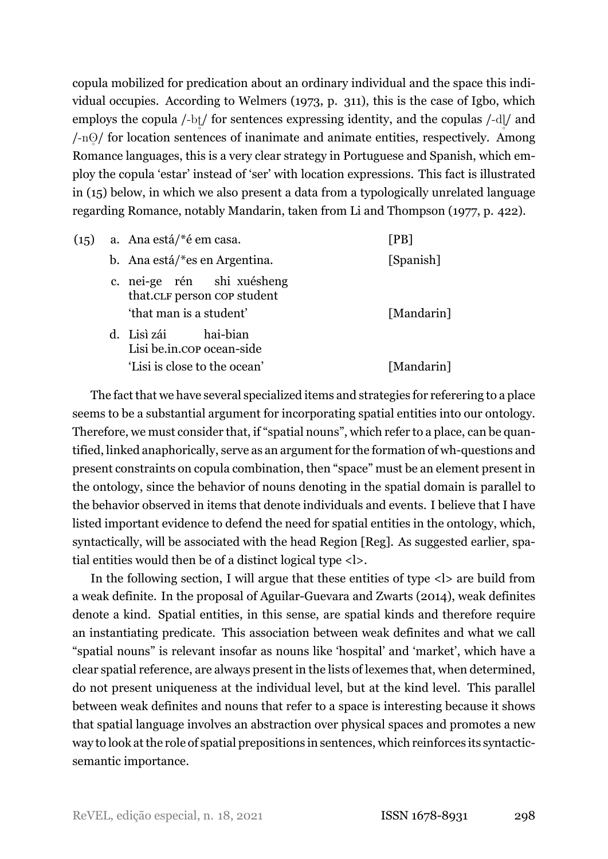copula mobilized for predication about an ordinary individual and the space this individual occupies. According to Welmers [\(1973,](#page-34-10) p. 311), this is the case of Igbo, which employs the copula /-bt/ for sentences expressing identity, and the copulas /-dl/ and /-n $\odot$ / for location sentences of inanimate and animate entities, respectively. Among  $\frac{1}{2}$ Romance languages, this is a very clear strategy in Portuguese and Spanish, which employ the copula 'estar' instead of 'ser' with location expressions. This fact is illustrated in [\(15\)](#page-10-1) below, in which we also present a data from a typologically unrelated language regarding Romance, notably Mandarin, taken from Li and Thompson [\(1977](#page-33-10), p. 422).

<span id="page-10-1"></span>

| (15) | a. Ana está/ <sup>*</sup> é em casa.                                                 | [PB]       |
|------|--------------------------------------------------------------------------------------|------------|
|      | b. Ana está/*es en Argentina.                                                        | [Spanish]  |
|      | c. nei-ge rén shi xuésheng<br>that.CLF person cop student<br>'that man is a student' | [Mandarin] |
|      | d. Lisì zái hai-bian<br>Lisi be.in.cop ocean-side<br>'Lisi is close to the ocean'    | [Mandarin] |
|      |                                                                                      |            |

The fact that we have several specialized items and strategies for referering to a place seems to be a substantial argument for incorporating spatial entities into our ontology. Therefore, we must consider that, if "spatial nouns", which refer to a place, can be quantified, linked anaphorically, serve as an argument for the formation of wh-questions and present constraints on copula combination, then "space" must be an element present in the ontology, since the behavior of nouns denoting in the spatial domain is parallel to the behavior observed in items that denote individuals and events. I believe that I have listed important evidence to defend the need for spatial entities in the ontology, which, syntactically, will be associated with the head Region [Reg]. As suggested earlier, spatial entities would then be of a distinct logical type <l>.

<span id="page-10-0"></span>In the following section, I will argue that these entities of type  $\langle \cdot | \cdot \rangle$  are build from a weak definite. In the proposal of Aguilar-Guevara and Zwarts (2014), weak definites denote a kind. Spatial entities, in this sense, are spatial kinds and therefore require an instantiating predicate. This association between weak definites and what we call "spatial nouns" is relevant insofar as nouns like 'hospital' and 'market', which have a clear spatial reference, are always present in the lists of lexemes that, when determined, do not present uniqueness at the individual level, but at the kind level. This parallel between weak definites and nouns that refer to a space is interesting because it shows that spatial language involves an abstraction over physical spaces and promotes a new way to look at the role of spatial prepositions in sentences, which reinforces its syntacticsemantic importance.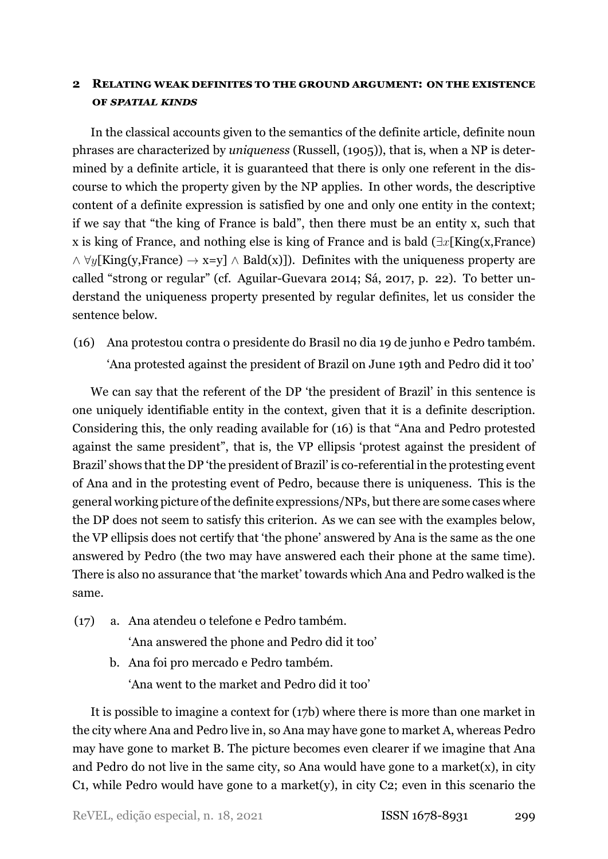# **2 RELATING WEAK DEFINITES TO THE GROUND ARGUMENT: ON THE EXISTENCE OF** *SPATIAL KINDS*

In the classical accounts given to the semantics of the definite article, definite noun phrases are characterized by *uniqueness* (Russell, [\(1905\)](#page-34-11)), that is, when a NP is determined by a definite article, it is guaranteed that there is only one referent in the discourse to which the property given by the NP applies. In other words, the descriptive content of a definite expression is satisfied by one and only one entity in the context; if we say that "the king of France is bald", then there must be an entity x, such that x is king of France, and nothing else is king of France and is bald (*∃x*[King(x,France) *∧ ∀y*[King(y,France) *→* x=y] *∧* Bald(x)]). Definites with the uniqueness property are called "strong or regular" (cf. Aguilar-Guevara [2014;](#page-32-1) Sá, [2017,](#page-34-12) p. 22). To better understand the uniqueness property presented by regular definites, let us consider the sentence below.

<span id="page-11-0"></span>(16) Ana protestou contra o presidente do Brasil no dia 19 de junho e Pedro também. 'Ana protested against the president of Brazil on June 19th and Pedro did it too'

We can say that the referent of the DP 'the president of Brazil' in this sentence is one uniquely identifiable entity in the context, given that it is a definite description. Considering this, the only reading available for [\(16](#page-11-0)) is that "Ana and Pedro protested against the same president", that is, the VP ellipsis 'protest against the president of Brazil' shows that the DP 'the president of Brazil' is co-referential in the protesting event of Ana and in the protesting event of Pedro, because there is uniqueness. This is the general working picture of the definite expressions/NPs, but there are some cases where the DP does not seem to satisfy this criterion. As we can see with the examples below, the VP ellipsis does not certify that 'the phone' answered by Ana is the same as the one answered by Pedro (the two may have answered each their phone at the same time). There is also no assurance that 'the market' towards which Ana and Pedro walked is the same.

<span id="page-11-1"></span>(17) a. Ana atendeu o telefone e Pedro também.

'Ana answered the phone and Pedro did it too'

b. Ana foi pro mercado e Pedro também. 'Ana went to the market and Pedro did it too'

It is possible to imagine a context for([17b](#page-11-1)) where there is more than one market in the city where Ana and Pedro live in, so Ana may have gone to market A, whereas Pedro may have gone to market B. The picture becomes even clearer if we imagine that Ana and Pedro do not live in the same city, so Ana would have gone to a market(x), in city C1, while Pedro would have gone to a market(y), in city C2; even in this scenario the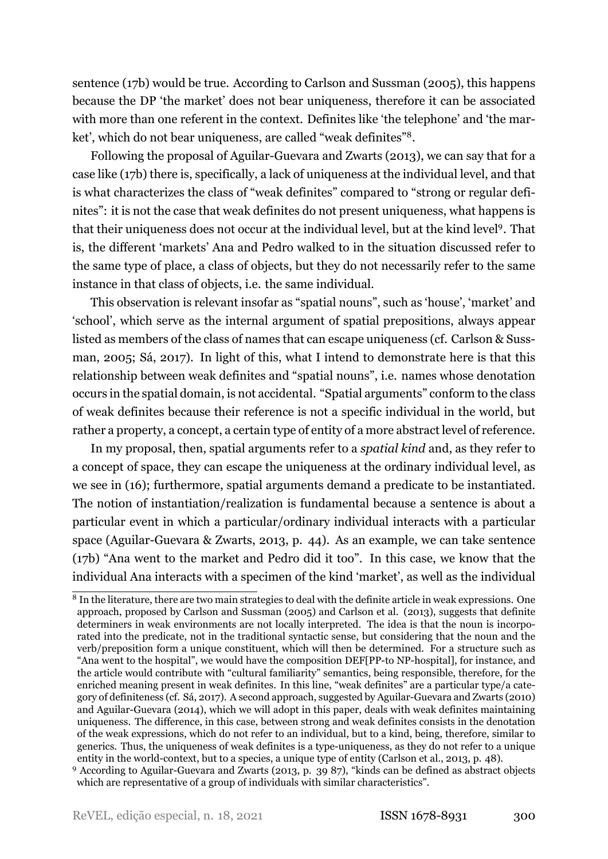sentence [\(17b](#page-11-1)) would be true. According to Carlson and Sussman [\(2005\)](#page-33-0), this happens because the DP 'the market' does not bear uniqueness, therefore it can be associated with more than one referent in the context. Definites like 'the telephone' and 'the market', which do not bear uniqueness, are called "weak definites"[8](#page-12-0) .

Followingthe proposal of Aguilar-Guevara and Zwarts ([2013\)](#page-32-2), we can say that for a case like([17b\)](#page-11-1) there is, specifically, a lack of uniqueness at the individual level, and that is what characterizes the class of "weak definites" compared to "strong or regular definites": it is not the case that weak definites do not present uniqueness, what happens is that their uniqueness does not occur at the individual level, but at the kind level<sup>[9](#page-12-1)</sup>. That is, the different 'markets' Ana and Pedro walked to in the situation discussed refer to the same type of place, a class of objects, but they do not necessarily refer to the same instance in that class of objects, i.e. the same individual.

This observation is relevant insofar as "spatial nouns", such as 'house', 'market' and 'school', which serve as the internal argument of spatial prepositions, always appear listed as members of the class of names that can escape uniqueness (cf. Carlson & Sussman, [2005](#page-33-0); Sá, [2017\)](#page-34-12). In light of this, what I intend to demonstrate here is that this relationship between weak definites and "spatial nouns", i.e. names whose denotation occurs in the spatial domain, is not accidental. "Spatial arguments" conform to the class of weak definites because their reference is not a specific individual in the world, but rather a property, a concept, a certain type of entity of a more abstract level of reference.

In my proposal, then, spatial arguments refer to a *spatial kind* and, as they refer to a concept of space, they can escape the uniqueness at the ordinary individual level, as we see in([16\)](#page-11-0); furthermore, spatial arguments demand a predicate to be instantiated. The notion of instantiation/realization is fundamental because a sentence is about a particular event in which a particular/ordinary individual interacts with a particular space (Aguilar-Guevara & Zwarts, [2013,](#page-32-2) p. 44). As an example, we can take sentence [\(17b](#page-11-1)) "Ana went to the market and Pedro did it too". In this case, we know that the individual Ana interacts with a specimen of the kind 'market', as well as the individual

<span id="page-12-0"></span><sup>&</sup>lt;sup>8</sup> In the literature, there are two main strategies to deal with the definite article in weak expressions. One approach, proposed by Carlson and Sussman (2005) and Carlson et al. (2013), suggests that definite determiners in weak environments are not locally interpreted. The idea is that the noun is incorporated into the predicate, not in the traditional syntactic sense, but considering that the noun and the verb/preposition form a unique constituent, which will then be determined. For a structure such as "Ana went to the hospital", we would have the composition DEF[PP-to NP-hospital], for instance, and the article would contribute with "cultural familiarity" semantics, being responsible, therefore, for the enriched meaning present in weak definites. In this line, "weak definites" are a particular type/a category of definiteness (cf. Sá, 2017). A second approach, suggested by Aguilar-Guevara and Zwarts (2010) and Aguilar-Guevara (2014), which we will adopt in this paper, deals with weak definites maintaining uniqueness. The difference, in this case, between strong and weak definites consists in the denotation of the weak expressions, which do not refer to an individual, but to a kind, being, therefore, similar to generics. Thus, the uniqueness of weak definites is a type-uniqueness, as they do not refer to a unique entity in the world-context, but to a species, a unique type of entity (Carlson et al., 2013, p. 48).

<span id="page-12-1"></span><sup>&</sup>lt;sup>9</sup>According to Aguilar-Guevara and Zwarts ([2013](#page-32-2), p. 39 87), "kinds can be defined as abstract objects which are representative of a group of individuals with similar characteristics".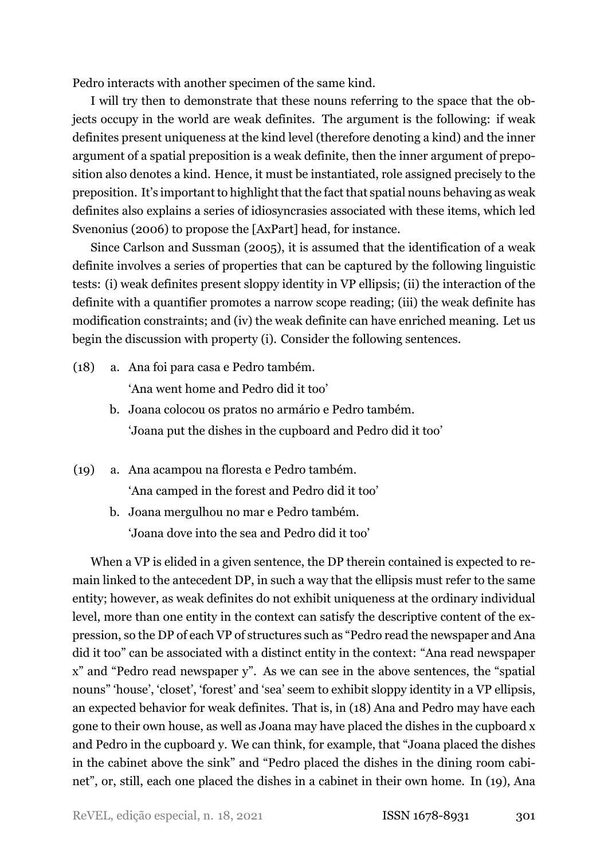Pedro interacts with another specimen of the same kind.

I will try then to demonstrate that these nouns referring to the space that the objects occupy in the world are weak definites. The argument is the following: if weak definites present uniqueness at the kind level (therefore denoting a kind) and the inner argument of a spatial preposition is a weak definite, then the inner argument of preposition also denotes a kind. Hence, it must be instantiated, role assigned precisely to the preposition. It's important to highlight that the fact that spatial nouns behaving as weak definites also explains a series of idiosyncrasies associated with these items, which led Svenonius (2006) to propose the [AxPart] head, for instance.

Since Carlson and Sussman (2005), it is assumed that the identification of a weak definite involves a series of properties that can be captured by the following linguistic tests: (i) weak definites present sloppy identity in VP ellipsis; (ii) the interaction of the definite with a quantifier promotes a narrow scope reading; (iii) the weak definite has modification constraints; and (iv) the weak definite can have enriched meaning. Let us begin the discussion with property (i). Consider the following sentences.

<span id="page-13-0"></span>(18) a. Ana foi para casa e Pedro também.

'Ana went home and Pedro did it too'

- b. Joana colocou os pratos no armário e Pedro também. 'Joana put the dishes in the cupboard and Pedro did it too'
- <span id="page-13-1"></span>(19) a. Ana acampou na floresta e Pedro também. 'Ana camped in the forest and Pedro did it too'
	- b. Joana mergulhou no mar e Pedro também. 'Joana dove into the sea and Pedro did it too'

When a VP is elided in a given sentence, the DP therein contained is expected to remain linked to the antecedent DP, in such a way that the ellipsis must refer to the same entity; however, as weak definites do not exhibit uniqueness at the ordinary individual level, more than one entity in the context can satisfy the descriptive content of the expression, so the DP of each VP of structures such as "Pedro read the newspaper and Ana did it too" can be associated with a distinct entity in the context: "Ana read newspaper x" and "Pedro read newspaper y". As we can see in the above sentences, the "spatial nouns" 'house', 'closet', 'forest' and 'sea' seem to exhibit sloppy identity in a VP ellipsis, an expected behavior for weak definites. That is, in([18\)](#page-13-0) Ana and Pedro may have each gone to their own house, as well as Joana may have placed the dishes in the cupboard x and Pedro in the cupboard y. We can think, for example, that "Joana placed the dishes in the cabinet above the sink" and "Pedro placed the dishes in the dining room cabinet", or, still, each one placed the dishes in a cabinet in their own home. In [\(19](#page-13-1)), Ana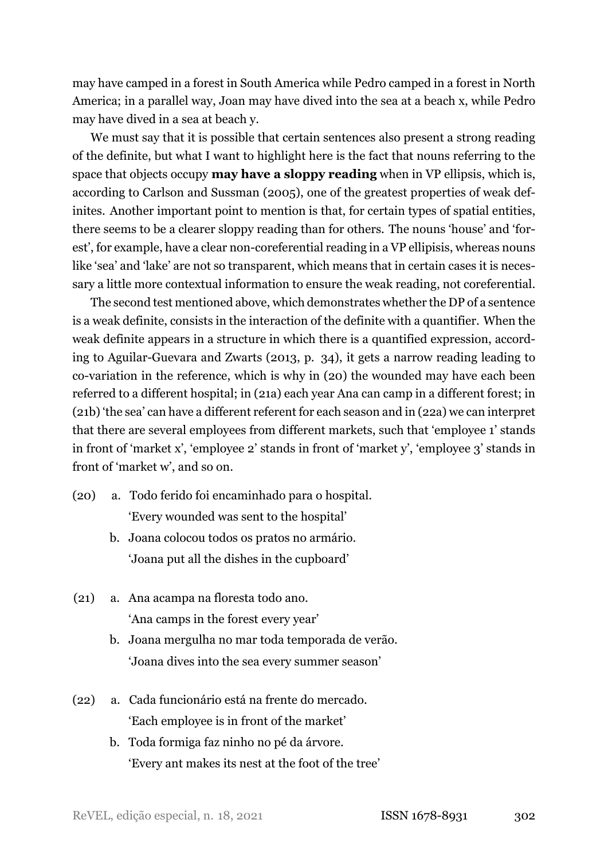may have camped in a forest in South America while Pedro camped in a forest in North America; in a parallel way, Joan may have dived into the sea at a beach x, while Pedro may have dived in a sea at beach y.

We must say that it is possible that certain sentences also present a strong reading of the definite, but what I want to highlight here is the fact that nouns referring to the space that objects occupy **may have a sloppy reading** when in VP ellipsis, which is, according to Carlson and Sussman (2005), one of the greatest properties of weak definites. Another important point to mention is that, for certain types of spatial entities, there seems to be a clearer sloppy reading than for others. The nouns 'house' and 'forest', for example, have a clear non-coreferential reading in a VP ellipisis, whereas nouns like 'sea' and 'lake' are not so transparent, which means that in certain cases it is necessary a little more contextual information to ensure the weak reading, not coreferential.

The second test mentioned above, which demonstrates whether the DP of a sentence is a weak definite, consists in the interaction of the definite with a quantifier. When the weak definite appears in a structure in which there is a quantified expression, accord-ingto Aguilar-Guevara and Zwarts ([2013,](#page-32-2) p. 34), it gets a narrow reading leading to co-variationin the reference, which is why in ([20\)](#page-14-0) the wounded may have each been referred to a different hospital; in [\(21](#page-14-1)a) each year Ana can camp in a different forest; in [\(21](#page-14-1)b) 'the sea' can have a different referent for each season and in (22a) we can interpret that there are several employees from different markets, such that 'employee 1' stands in front of 'market x', 'employee 2' stands in front of 'market y', 'employee 3' stands in front of 'market w', and so on.

<span id="page-14-0"></span>(20) a. Todo ferido foi encaminhado para o hospital.

'Every wounded was sent to the hospital'

- b. Joana colocou todos os pratos no armário. 'Joana put all the dishes in the cupboard'
- <span id="page-14-1"></span>(21) a. Ana acampa na floresta todo ano. 'Ana camps in the forest every year'
	- b. Joana mergulha no mar toda temporada de verão. 'Joana dives into the sea every summer season'
- (22) a. Cada funcionário está na frente do mercado. 'Each employee is in front of the market'
	- b. Toda formiga faz ninho no pé da árvore. 'Every ant makes its nest at the foot of the tree'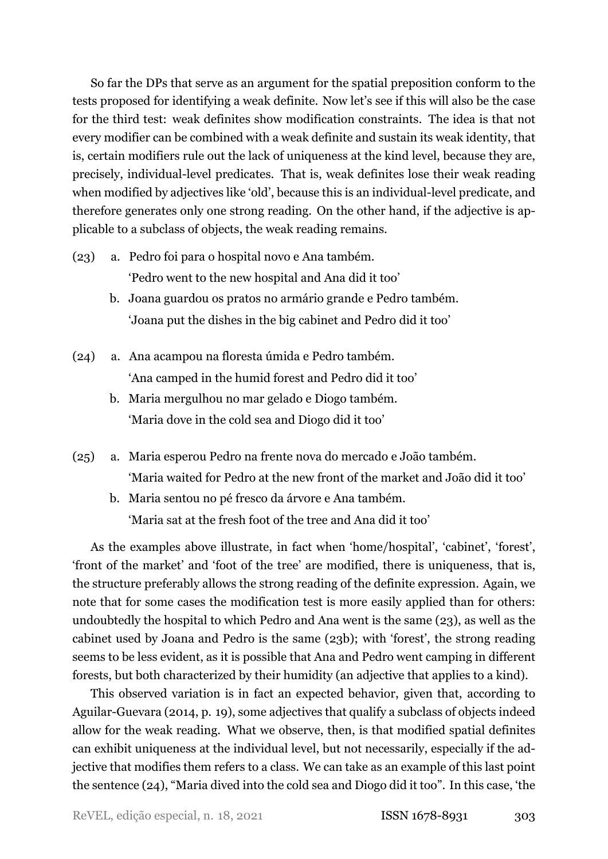So far the DPs that serve as an argument for the spatial preposition conform to the tests proposed for identifying a weak definite. Now let's see if this will also be the case for the third test: weak definites show modification constraints. The idea is that not every modifier can be combined with a weak definite and sustain its weak identity, that is, certain modifiers rule out the lack of uniqueness at the kind level, because they are, precisely, individual-level predicates. That is, weak definites lose their weak reading when modified by adjectives like 'old', because this is an individual-level predicate, and therefore generates only one strong reading. On the other hand, if the adjective is applicable to a subclass of objects, the weak reading remains.

- <span id="page-15-0"></span>(23) a. Pedro foi para o hospital novo e Ana também. 'Pedro went to the new hospital and Ana did it too'
	- b. Joana guardou os pratos no armário grande e Pedro também. 'Joana put the dishes in the big cabinet and Pedro did it too'
- <span id="page-15-1"></span>(24) a. Ana acampou na floresta úmida e Pedro também. 'Ana camped in the humid forest and Pedro did it too'
	- b. Maria mergulhou no mar gelado e Diogo também. 'Maria dove in the cold sea and Diogo did it too'
- <span id="page-15-2"></span>(25) a. Maria esperou Pedro na frente nova do mercado e João também. 'Maria waited for Pedro at the new front of the market and João did it too'
	- b. Maria sentou no pé fresco da árvore e Ana também. 'Maria sat at the fresh foot of the tree and Ana did it too'

As the examples above illustrate, in fact when 'home/hospital', 'cabinet', 'forest', 'front of the market' and 'foot of the tree' are modified, there is uniqueness, that is, the structure preferably allows the strong reading of the definite expression. Again, we note that for some cases the modification test is more easily applied than for others: undoubtedly the hospital to which Pedro and Ana went is the same([23](#page-15-0)), as well as the cabinet used by Joana and Pedro is the same([23b](#page-15-0)); with 'forest', the strong reading seems to be less evident, as it is possible that Ana and Pedro went camping in different forests, but both characterized by their humidity (an adjective that applies to a kind).

This observed variation is in fact an expected behavior, given that, according to Aguilar-Guevara (2014, p. 19), some adjectives that qualify a subclass of objects indeed allow for the weak reading. What we observe, then, is that modified spatial definites can exhibit uniqueness at the individual level, but not necessarily, especially if the adjective that modifies them refers to a class. We can take as an example of this last point the sentence [\(24\)](#page-15-1), "Maria dived into the cold sea and Diogo did it too". In this case, 'the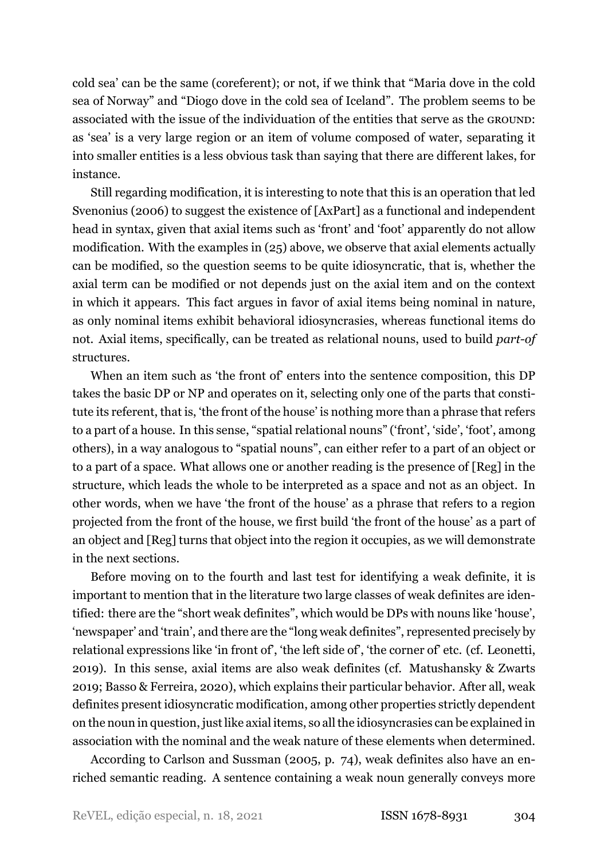cold sea' can be the same (coreferent); or not, if we think that "Maria dove in the cold sea of Norway" and "Diogo dove in the cold sea of Iceland". The problem seems to be associated with the issue of the individuation of the entities that serve as the GROUND: as 'sea' is a very large region or an item of volume composed of water, separating it into smaller entities is a less obvious task than saying that there are different lakes, for instance.

Still regarding modification, it is interesting to note that this is an operation that led Svenonius (2006) to suggest the existence of [AxPart] as a functional and independent head in syntax, given that axial items such as 'front' and 'foot' apparently do not allow modification. With the examples in([25\)](#page-15-2) above, we observe that axial elements actually can be modified, so the question seems to be quite idiosyncratic, that is, whether the axial term can be modified or not depends just on the axial item and on the context in which it appears. This fact argues in favor of axial items being nominal in nature, as only nominal items exhibit behavioral idiosyncrasies, whereas functional items do not. Axial items, specifically, can be treated as relational nouns, used to build *part-of* structures.

When an item such as 'the front of' enters into the sentence composition, this DP takes the basic DP or NP and operates on it, selecting only one of the parts that constitute its referent, that is, 'the front of the house' is nothing more than a phrase that refers to a part of a house. In this sense, "spatial relational nouns" ('front', 'side', 'foot', among others), in a way analogous to "spatial nouns", can either refer to a part of an object or to a part of a space. What allows one or another reading is the presence of [Reg] in the structure, which leads the whole to be interpreted as a space and not as an object. In other words, when we have 'the front of the house' as a phrase that refers to a region projected from the front of the house, we first build 'the front of the house' as a part of an object and [Reg] turns that object into the region it occupies, as we will demonstrate in the next sections.

Before moving on to the fourth and last test for identifying a weak definite, it is important to mention that in the literature two large classes of weak definites are identified: there are the "short weak definites", which would be DPs with nouns like 'house', 'newspaper' and 'train', and there are the "long weak definites", represented precisely by relational expressions like 'in front of', 'the left side of', 'the corner of' etc. (cf. Leonetti, [2019\)](#page-33-11). In this sense, axial items are also weak definites (cf. Matushansky & Zwarts [2019;](#page-34-7) Basso & Ferreira, [2020\)](#page-33-7), which explains their particular behavior. After all, weak definites present idiosyncratic modification, among other properties strictly dependent on the noun in question, just like axial items, so all the idiosyncrasies can be explained in association with the nominal and the weak nature of these elements when determined.

According to Carlson and Sussman [\(2005](#page-33-0), p. 74), weak definites also have an enriched semantic reading. A sentence containing a weak noun generally conveys more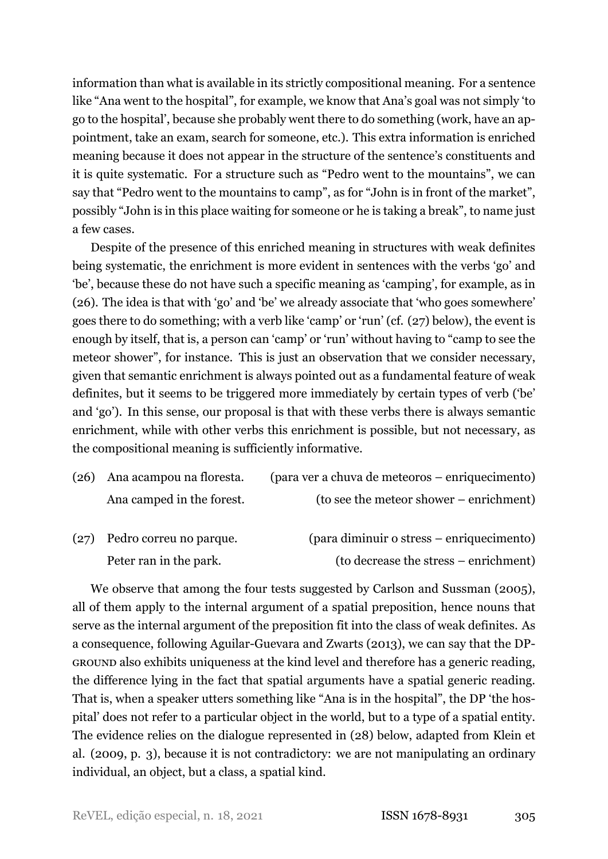information than what is available in its strictly compositional meaning. For a sentence like "Ana went to the hospital", for example, we know that Ana's goal was not simply 'to go to the hospital', because she probably went there to do something (work, have an appointment, take an exam, search for someone, etc.). This extra information is enriched meaning because it does not appear in the structure of the sentence's constituents and it is quite systematic. For a structure such as "Pedro went to the mountains", we can say that "Pedro went to the mountains to camp", as for "John is in front of the market", possibly "John is in this place waiting for someone or he is taking a break", to name just a few cases.

Despite of the presence of this enriched meaning in structures with weak definites being systematic, the enrichment is more evident in sentences with the verbs 'go' and 'be', because these do not have such a specific meaning as 'camping', for example, as in [\(26\)](#page-17-0). The idea is that with 'go' and 'be' we already associate that 'who goes somewhere' goes there to do something; with a verb like 'camp' or 'run' (cf.([27](#page-17-1)) below), the event is enough by itself, that is, a person can 'camp' or 'run' without having to "camp to see the meteor shower", for instance. This is just an observation that we consider necessary, given that semantic enrichment is always pointed out as a fundamental feature of weak definites, but it seems to be triggered more immediately by certain types of verb ('be' and 'go'). In this sense, our proposal is that with these verbs there is always semantic enrichment, while with other verbs this enrichment is possible, but not necessary, as the compositional meaning is sufficiently informative.

<span id="page-17-0"></span>

| (26) Ana acampou na floresta. | (para ver a chuva de meteoros – enriquecimento) |
|-------------------------------|-------------------------------------------------|
| Ana camped in the forest.     | (to see the meteor shower – enrichment)         |

<span id="page-17-1"></span>

| (27) Pedro correu no parque. | (para diminuir o stress – enriquecimento) |
|------------------------------|-------------------------------------------|
| Peter ran in the park.       | (to decrease the stress – enrichment)     |

We observe that among the four tests suggested by Carlson and Sussman (2005), all of them apply to the internal argument of a spatial preposition, hence nouns that serve as the internal argument of the preposition fit into the class of weak definites. As a consequence, following Aguilar-Guevara and Zwarts (2013), we can say that the DP-GROUND also exhibits uniqueness at the kind level and therefore has a generic reading, the difference lying in the fact that spatial arguments have a spatial generic reading. That is, when a speaker utters something like "Ana is in the hospital", the DP 'the hospital' does not refer to a particular object in the world, but to a type of a spatial entity. The evidence relies on the dialogue represented in([28](#page-18-0)) below, adapted from Klein et al. [\(2009](#page-33-12), p. 3), because it is not contradictory: we are not manipulating an ordinary individual, an object, but a class, a spatial kind.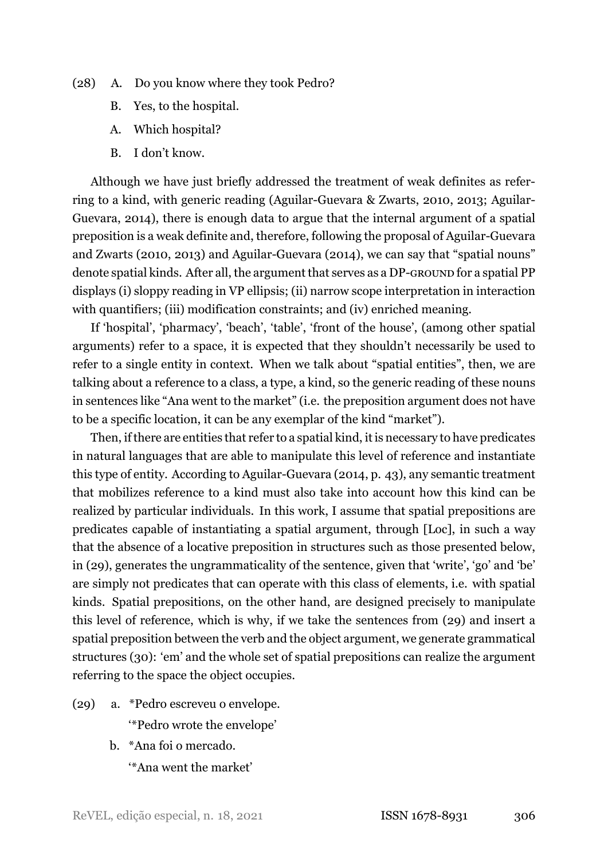- <span id="page-18-0"></span>(28) A. Do you know where they took Pedro?
	- B. Yes, to the hospital.
	- A. Which hospital?
	- B. I don't know.

Although we have just briefly addressed the treatment of weak definites as referring to a kind, with generic reading (Aguilar-Guevara & Zwarts, 2010, 2013; Aguilar-Guevara, 2014), there is enough data to argue that the internal argument of a spatial preposition is a weak definite and, therefore, following the proposal of Aguilar-Guevara and Zwarts (2010, 2013) and Aguilar-Guevara (2014), we can say that "spatial nouns" denote spatial kinds. After all, the argument that serves as a DP-GROUND for a spatial PP displays (i) sloppy reading in VP ellipsis; (ii) narrow scope interpretation in interaction with quantifiers; (iii) modification constraints; and (iv) enriched meaning.

If 'hospital', 'pharmacy', 'beach', 'table', 'front of the house', (among other spatial arguments) refer to a space, it is expected that they shouldn't necessarily be used to refer to a single entity in context. When we talk about "spatial entities", then, we are talking about a reference to a class, a type, a kind, so the generic reading of these nouns in sentences like "Ana went to the market" (i.e. the preposition argument does not have to be a specific location, it can be any exemplar of the kind "market").

Then, if there are entities that refer to a spatial kind, it is necessary to have predicates in natural languages that are able to manipulate this level of reference and instantiate this type of entity. According to Aguilar-Guevara (2014, p. 43), any semantic treatment that mobilizes reference to a kind must also take into account how this kind can be realized by particular individuals. In this work, I assume that spatial prepositions are predicates capable of instantiating a spatial argument, through [Loc], in such a way that the absence of a locative preposition in structures such as those presented below, in([29](#page-18-1)), generates the ungrammaticality of the sentence, given that 'write', 'go' and 'be' are simply not predicates that can operate with this class of elements, i.e. with spatial kinds. Spatial prepositions, on the other hand, are designed precisely to manipulate this level of reference, which is why, if we take the sentences from([29](#page-18-1)) and insert a spatial preposition between the verb and the object argument, we generate grammatical structures [\(30](#page-19-1)): 'em' and the whole set of spatial prepositions can realize the argument referring to the space the object occupies.

- <span id="page-18-1"></span>(29) a. \*Pedro escreveu o envelope. '\*Pedro wrote the envelope'
	- b. \*Ana foi o mercado.

'\*Ana went the market'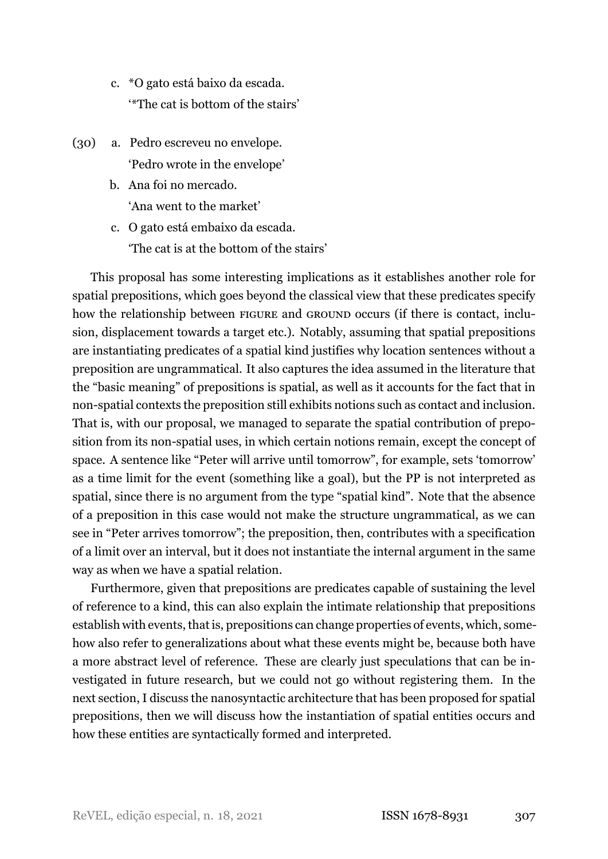- c. \*O gato está baixo da escada. '\*The cat is bottom of the stairs'
- <span id="page-19-1"></span>(30) a. Pedro escreveu no envelope. 'Pedro wrote in the envelope'
	- b. Ana foi no mercado. 'Ana went to the market'
	- c. O gato está embaixo da escada. 'The cat is at the bottom of the stairs'

This proposal has some interesting implications as it establishes another role for spatial prepositions, which goes beyond the classical view that these predicates specify how the relationship between FIGURE and GROUND occurs (if there is contact, inclusion, displacement towards a target etc.). Notably, assuming that spatial prepositions are instantiating predicates of a spatial kind justifies why location sentences without a preposition are ungrammatical. It also captures the idea assumed in the literature that the "basic meaning" of prepositions is spatial, as well as it accounts for the fact that in non-spatial contexts the preposition still exhibits notions such as contact and inclusion. That is, with our proposal, we managed to separate the spatial contribution of preposition from its non-spatial uses, in which certain notions remain, except the concept of space. A sentence like "Peter will arrive until tomorrow", for example, sets 'tomorrow' as a time limit for the event (something like a goal), but the PP is not interpreted as spatial, since there is no argument from the type "spatial kind". Note that the absence of a preposition in this case would not make the structure ungrammatical, as we can see in "Peter arrives tomorrow"; the preposition, then, contributes with a specification of a limit over an interval, but it does not instantiate the internal argument in the same way as when we have a spatial relation.

<span id="page-19-0"></span>Furthermore, given that prepositions are predicates capable of sustaining the level of reference to a kind, this can also explain the intimate relationship that prepositions establish with events, that is, prepositions can change properties of events, which, somehow also refer to generalizations about what these events might be, because both have a more abstract level of reference. These are clearly just speculations that can be investigated in future research, but we could not go without registering them. In the next section, I discuss the nanosyntactic architecture that has been proposed for spatial prepositions, then we will discuss how the instantiation of spatial entities occurs and how these entities are syntactically formed and interpreted.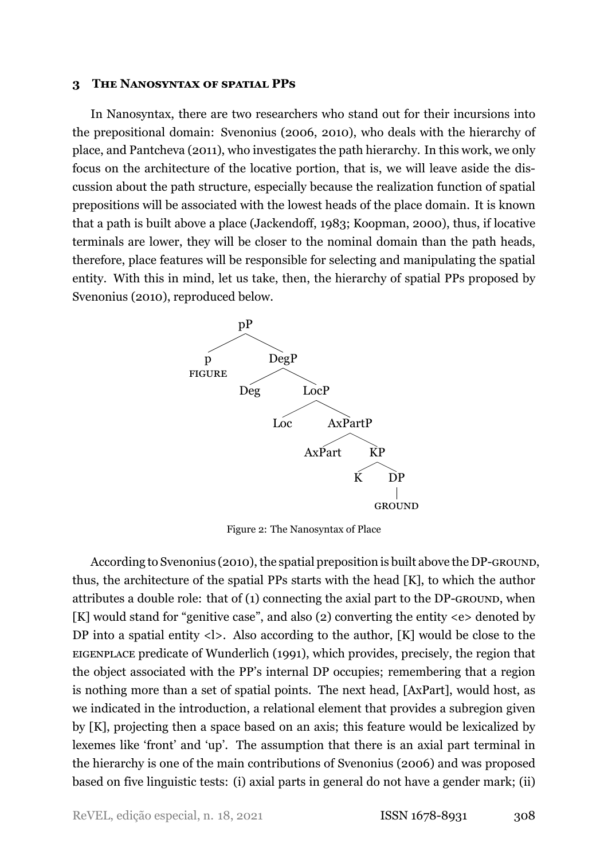#### **3 THE NANOSYNTAX OF SPATIAL PPS**

In Nanosyntax, there are two researchers who stand out for their incursions into the prepositional domain: Svenonius [\(2006,](#page-34-1) [2010\)](#page-34-2), who deals with the hierarchy of place, and Pantcheva [\(2011\)](#page-34-3), who investigates the path hierarchy. In this work, we only focus on the architecture of the locative portion, that is, we will leave aside the discussion about the path structure, especially because the realization function of spatial prepositions will be associated with the lowest heads of the place domain. It is known that a path is built above a place (Jackendoff, [1983](#page-33-3); Koopman, [2000\)](#page-33-5), thus, if locative terminals are lower, they will be closer to the nominal domain than the path heads, therefore, place features will be responsible for selecting and manipulating the spatial entity. With this in mind, let us take, then, the hierarchy of spatial PPs proposed by Svenonius (2010), reproduced below.

<span id="page-20-0"></span>

Figure 2: The Nanosyntax of Place

According to Svenonius (2010), the spatial preposition is built above the DP-GROUND, thus, the architecture of the spatial PPs starts with the head [K], to which the author attributes a double role: that of  $(1)$  connecting the axial part to the DP-GROUND, when [K] would stand for "genitive case", and also (2) converting the entity <e> denoted by DP into a spatial entity  $\langle \cdot | \cdot \rangle$ . Also according to the author, [K] would be close to the EIGENPLACE predicate of [Wunderlich](#page-35-0) [\(1991](#page-35-0)), which provides, precisely, the region that the object associated with the PP's internal DP occupies; remembering that a region is nothing more than a set of spatial points. The next head, [AxPart], would host, as we indicated in the introduction, a relational element that provides a subregion given by [K], projecting then a space based on an axis; this feature would be lexicalized by lexemes like 'front' and 'up'. The assumption that there is an axial part terminal in the hierarchy is one of the main contributions of Svenonius (2006) and was proposed based on five linguistic tests: (i) axial parts in general do not have a gender mark; (ii)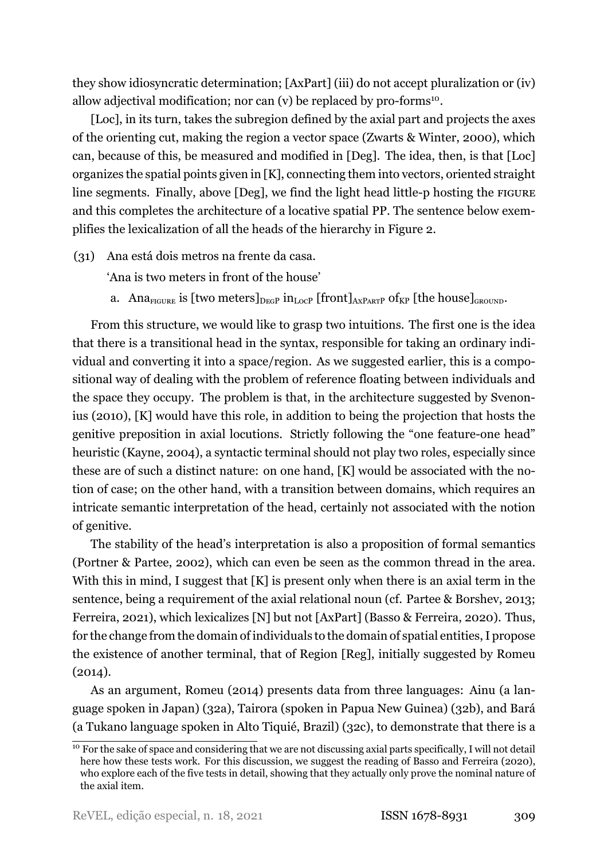they show idiosyncratic determination; [AxPart] (iii) do not accept pluralization or (iv) allow adjectival modification; nor can (v) be replaced by pro-forms<sup>[10](#page-21-0)</sup>.

[Loc], in its turn, takes the subregion defined by the axial part and projects the axes of the orienting cut, making the region a vector space (Zwarts & Winter, [2000\)](#page-35-1), which can, because of this, be measured and modified in [Deg]. The idea, then, is that [Loc] organizes the spatial points given in [K], connecting them into vectors, oriented straight line segments. Finally, above [Deg], we find the light head little-p hosting the FIGURE and this completes the architecture of a locative spatial PP. The sentence below exemplifies the lexicalization of all the heads of the hierarchy in Figure [2.](#page-20-0)

- (31) Ana está dois metros na frente da casa.
	- 'Ana is two meters in front of the house'
	- a. Ana<sub>FIGURE</sub> is [two meters] $_{\text{DecP}}$  in<sub>LOCP</sub> [front]<sub>AXPART</sub> of<sub>KP</sub> [the house]<sub>GROUND</sub>.

From this structure, we would like to grasp two intuitions. The first one is the idea that there is a transitional head in the syntax, responsible for taking an ordinary individual and converting it into a space/region. As we suggested earlier, this is a compositional way of dealing with the problem of reference floating between individuals and the space they occupy. The problem is that, in the architecture suggested by Svenonius (2010), [K] would have this role, in addition to being the projection that hosts the genitive preposition in axial locutions. Strictly following the "one feature-one head" heuristic [\(Kayne](#page-33-13), [2004](#page-33-13)), a syntactic terminal should not play two roles, especially since these are of such a distinct nature: on one hand, [K] would be associated with the notion of case; on the other hand, with a transition between domains, which requires an intricate semantic interpretation of the head, certainly not associated with the notion of genitive.

The stability of the head's interpretation is also a proposition of formal semantics (Portner & Partee, [2002](#page-34-13)), which can even be seen as the common thread in the area. With this in mind, I suggest that [K] is present only when there is an axial term in the sentence, being a requirement of the axial relational noun (cf. Partee & Borshev, [2013;](#page-34-14) Ferreira, [2021\)](#page-33-4), which lexicalizes [N] but not [AxPart] (Basso & Ferreira, [2020](#page-33-7)). Thus, for the change from the domain of individuals to the domain of spatial entities, I propose the existence of another terminal, that of Region [Reg], initially suggested by [Romeu](#page-34-0) [\(2014](#page-34-0)).

As an argument, Romeu (2014) presents data from three languages: Ainu (a language spoken in Japan)([32a](#page-22-0)), Tairora (spoken in Papua New Guinea) [\(32b](#page-22-1)), and Bará (a Tukano language spoken in Alto Tiquié, Brazil)([32c](#page-22-2)), to demonstrate that there is a

<span id="page-21-0"></span> $\overline{10}$  For the sake of space and considering that we are not discussing axial parts specifically, I will not detail here how these tests work. For this discussion, we suggest the reading of [Basso and Ferreira](#page-33-7) ([2020\)](#page-33-7), who explore each of the five tests in detail, showing that they actually only prove the nominal nature of the axial item.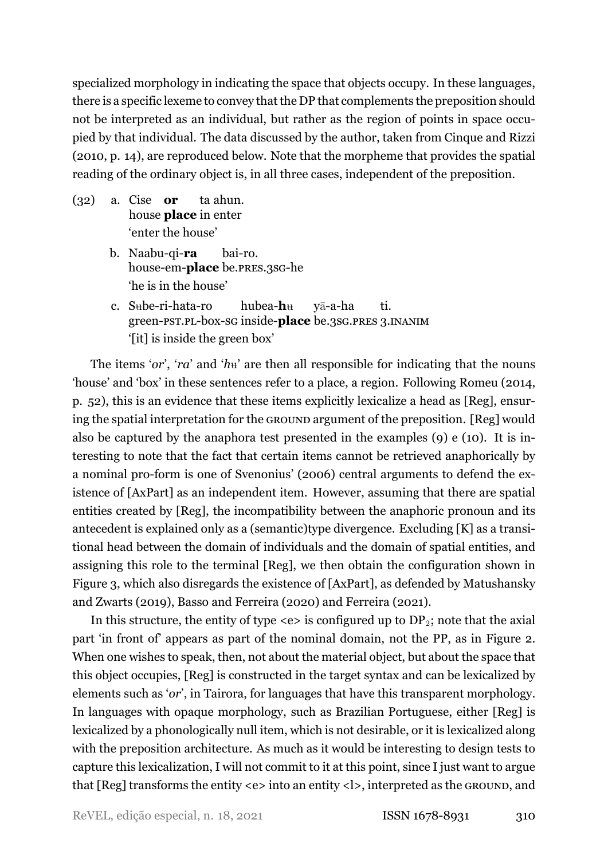specialized morphology in indicating the space that objects occupy. In these languages, there is a specific lexeme to convey that the DP that complements the preposition should not be interpreted as an individual, but rather as the region of points in space occupied by that individual. The data discussed by the author, taken from Cinque and Rizzi [\(2010,](#page-33-1) p. 14), are reproduced below. Note that the morpheme that provides the spatial reading of the ordinary object is, in all three cases, independent of the preposition.

- <span id="page-22-1"></span><span id="page-22-0"></span>(32) a. Cise **or** house **place** in enter ta ahun. 'enter the house'
	- b. Naabu-qi-ra house-em-**place** be.pres.3sG-he bai-ro. 'he is in the house'
	- $c.$  Sube-ri-hata-ro green-pst.pl-box-sg inside-**place** be.3sg.pres 3.INANIM hubea-**h**u yā-a-ha ti. '[it] is inside the green box'

<span id="page-22-2"></span>The items '*or*', '*ra*' and ' $h$ <sup>u</sup>' are then all responsible for indicating that the nouns 'house' and 'box' in these sentences refer to a place, a region. Following Romeu [\(2014](#page-34-0), p. 52), this is an evidence that these items explicitly lexicalize a head as [Reg], ensuring the spatial interpretation for the GROUND argument of the preposition. [Reg] would also be captured by the anaphora test presented in the examples [\(9](#page-8-2)) e([10](#page-8-3)). It is interesting to note that the fact that certain items cannot be retrieved anaphorically by a nominal pro-form is one of Svenonius' (2006) central arguments to defend the existence of [AxPart] as an independent item. However, assuming that there are spatial entities created by [Reg], the incompatibility between the anaphoric pronoun and its antecedent is explained only as a (semantic)type divergence. Excluding [K] as a transitional head between the domain of individuals and the domain of spatial entities, and assigning this role to the terminal [Reg], we then obtain the configuration shown in Figure [3,](#page-23-0) which also disregards the existence of [AxPart], as defended by [Matushansky](#page-34-7) [and Zwarts](#page-34-7) [\(2019](#page-34-7)), [Basso and Ferreira](#page-33-7) [\(2020](#page-33-7)) and [Ferreira](#page-33-4) ([2021\)](#page-33-4).

In this structure, the entity of type  $\langle e \rangle$  is configured up to DP<sub>2</sub>; note that the axial part 'in front of' appears as part of the nominal domain, not the PP, as in Figure [2](#page-20-0). When one wishes to speak, then, not about the material object, but about the space that this object occupies, [Reg] is constructed in the target syntax and can be lexicalized by elements such as '*or*', in Tairora, for languages that have this transparent morphology. In languages with opaque morphology, such as Brazilian Portuguese, either [Reg] is lexicalized by a phonologically null item, which is not desirable, or it is lexicalized along with the preposition architecture. As much as it would be interesting to design tests to capture this lexicalization, I will not commit to it at this point, since I just want to argue that [Reg] transforms the entity <e> into an entity <l>, interpreted as the GROUND, and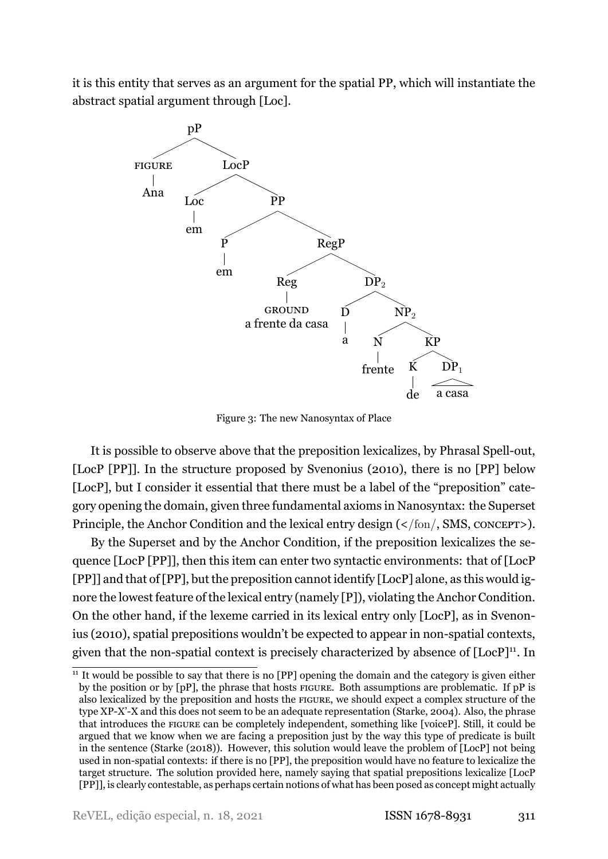<span id="page-23-0"></span>it is this entity that serves as an argument for the spatial PP, which will instantiate the abstract spatial argument through [Loc].



Figure 3: The new Nanosyntax of Place

It is possible to observe above that the preposition lexicalizes, by Phrasal Spell-out, [LocP [PP]]. In the structure proposed by Svenonius (2010), there is no [PP] below [LocP], but I consider it essential that there must be a label of the "preposition" category opening the domain, given three fundamental axioms in Nanosyntax: the Superset Principle, the Anchor Condition and the lexical entry design (</fon/, SMS, CONCEPT>).

By the Superset and by the Anchor Condition, if the preposition lexicalizes the sequence [LocP [PP]], then this item can enter two syntactic environments: that of [LocP [PP]] and that of [PP], but the preposition cannot identify [LocP] alone, as this would ignore the lowest feature of the lexical entry (namely [P]), violating the Anchor Condition. On the other hand, if the lexeme carried in its lexical entry only [LocP], as in Svenonius (2010), spatial prepositions wouldn't be expected to appear in non-spatial contexts, given that the non-spatial context is precisely characterized by absence of  $[LocP]^{11}$  $[LocP]^{11}$  $[LocP]^{11}$ . In

<span id="page-23-1"></span> $11$  It would be possible to say that there is no  $[PP]$  opening the domain and the category is given either by the position or by [pP], the phrase that hosts FIGURE. Both assumptions are problematic. If pP is also lexicalized by the preposition and hosts the FIGURE, we should expect a complex structure of the type XP-X'-X and this does not seem to be an adequate representation [\(Starke,](#page-34-15) [2004\)](#page-34-15). Also, the phrase that introduces the FIGURE can be completely independent, something like [voiceP]. Still, it could be argued that we know when we are facing a preposition just by the way this type of predicate is built in the sentence [\(Starke](#page-34-16) [\(2018](#page-34-16))). However, this solution would leave the problem of [LocP] not being used in non-spatial contexts: if there is no [PP], the preposition would have no feature to lexicalize the target structure. The solution provided here, namely saying that spatial prepositions lexicalize [LocP [PP]], is clearly contestable, as perhaps certain notions of what has been posed as concept might actually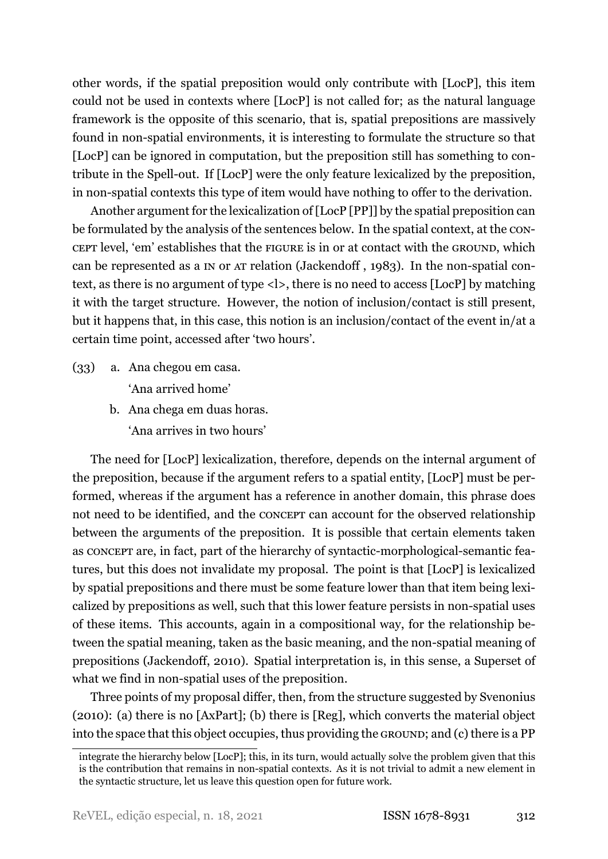other words, if the spatial preposition would only contribute with [LocP], this item could not be used in contexts where [LocP] is not called for; as the natural language framework is the opposite of this scenario, that is, spatial prepositions are massively found in non-spatial environments, it is interesting to formulate the structure so that [LocP] can be ignored in computation, but the preposition still has something to contribute in the Spell-out. If [LocP] were the only feature lexicalized by the preposition, in non-spatial contexts this type of item would have nothing to offer to the derivation.

Another argument for the lexicalization of [LocP [PP]] by the spatial preposition can be formulated by the analysis of the sentences below. In the spatial context, at the CON-CEPT level, 'em' establishes that the FIGURE is in or at contact with the GROUND, which can be represented as a IN or AT relation (Jackendoff , 1983). In the nonspatial context, as there is no argument of type <l>, there is no need to access [LocP] by matching it with the target structure. However, the notion of inclusion/contact is still present, but it happens that, in this case, this notion is an inclusion/contact of the event in/at a certain time point, accessed after 'two hours'.

- (33) a. Ana chegou em casa. 'Ana arrived home'
	- b. Ana chega em duas horas. 'Ana arrives in two hours'

The need for [LocP] lexicalization, therefore, depends on the internal argument of the preposition, because if the argument refers to a spatial entity, [LocP] must be performed, whereas if the argument has a reference in another domain, this phrase does not need to be identified, and the CONCEPT can account for the observed relationship between the arguments of the preposition. It is possible that certain elements taken as CONCEPT are, in fact, part of the hierarchy of syntactic-morphological-semantic features, but this does not invalidate my proposal. The point is that [LocP] is lexicalized by spatial prepositions and there must be some feature lower than that item being lexicalized by prepositions as well, such that this lower feature persists in nonspatial uses of these items. This accounts, again in a compositional way, for the relationship between the spatial meaning, taken as the basic meaning, and the non-spatial meaning of prepositions([Jackendoff,](#page-33-14) [2010\)](#page-33-14). Spatial interpretation is, in this sense, a Superset of what we find in non-spatial uses of the preposition.

Three points of my proposal differ, then, from the structure suggested by Svenonius (2010): (a) there is no [AxPart]; (b) there is [Reg], which converts the material object into the space that this object occupies, thus providing the GROUND; and (c) there is a PP

integrate the hierarchy below [LocP]; this, in its turn, would actually solve the problem given that this is the contribution that remains in non-spatial contexts. As it is not trivial to admit a new element in the syntactic structure, let us leave this question open for future work.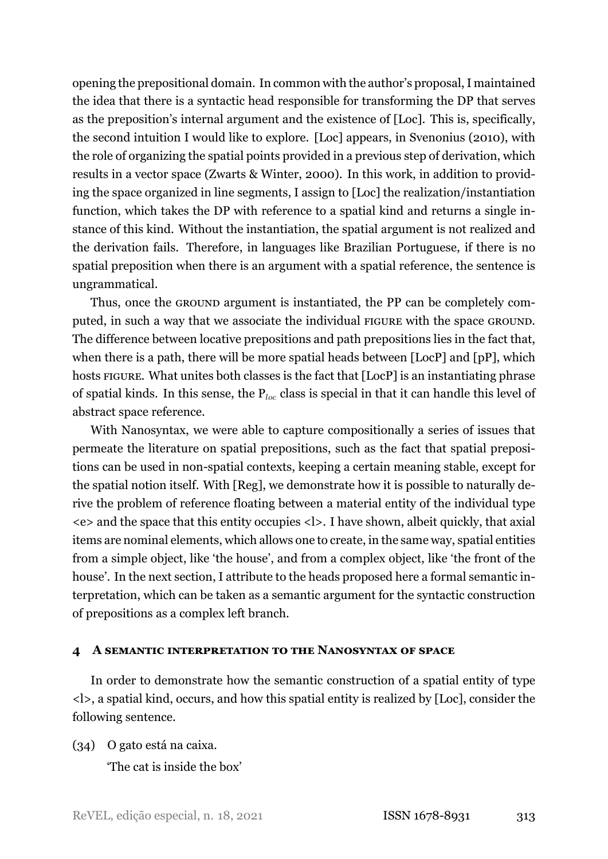opening the prepositional domain. In common with the author's proposal, I maintained the idea that there is a syntactic head responsible for transforming the DP that serves as the preposition's internal argument and the existence of [Loc]. This is, specifically, the second intuition I would like to explore. [Loc] appears, in Svenonius (2010), with the role of organizing the spatial points provided in a previous step of derivation, which results in a vector space (Zwarts & Winter, [2000\)](#page-35-1). In this work, in addition to providing the space organized in line segments, I assign to [Loc] the realization/instantiation function, which takes the DP with reference to a spatial kind and returns a single instance of this kind. Without the instantiation, the spatial argument is not realized and the derivation fails. Therefore, in languages like Brazilian Portuguese, if there is no spatial preposition when there is an argument with a spatial reference, the sentence is ungrammatical.

Thus, once the GROUND argument is instantiated, the PP can be completely computed, in such a way that we associate the individual FIGURE with the space GROUND. The difference between locative prepositions and path prepositions lies in the fact that, when there is a path, there will be more spatial heads between [LocP] and [pP], which hosts FIGURE. What unites both classes is the fact that [LocP] is an instantiating phrase of spatial kinds. In this sense, the P*loc* class is special in that it can handle this level of abstract space reference.

With Nanosyntax, we were able to capture compositionally a series of issues that permeate the literature on spatial prepositions, such as the fact that spatial prepositions can be used in non-spatial contexts, keeping a certain meaning stable, except for the spatial notion itself. With [Reg], we demonstrate how it is possible to naturally derive the problem of reference floating between a material entity of the individual type <e> and the space that this entity occupies <l>. I have shown, albeit quickly, that axial items are nominal elements, which allows one to create, in the same way, spatial entities from a simple object, like 'the house', and from a complex object, like 'the front of the house'. In the next section, I attribute to the heads proposed here a formal semantic interpretation, which can be taken as a semantic argument for the syntactic construction of prepositions as a complex left branch.

#### <span id="page-25-0"></span>**4 A SEMANTIC INTERPRETATION TO THE NANOSYNTAX OF SPACE**

In order to demonstrate how the semantic construction of a spatial entity of type <l>, a spatial kind, occurs, and how this spatial entity is realized by [Loc], consider the following sentence.

<span id="page-25-1"></span>(34) O gato está na caixa.

'The cat is inside the box'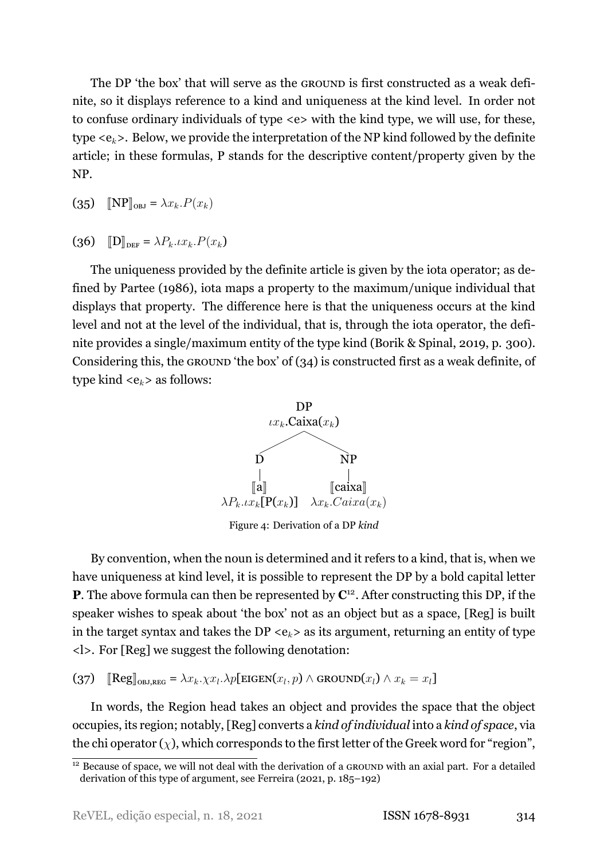The DP 'the box' that will serve as the GROUND is first constructed as a weak definite, so it displays reference to a kind and uniqueness at the kind level. In order not to confuse ordinary individuals of type <e> with the kind type, we will use, for these, type <e*k*>. Below, we provide the interpretation of the NP kind followed by the definite article; in these formulas, P stands for the descriptive content/property given by the NP.

 $(S_5)$   $[NP]_{OBI} = \lambda x_k P(x_k)$ 

 $(36)$   $[D]_{DEF} = \lambda P_k \, . \iota x_k \, . P(x_k)$ 

The uniqueness provided by the definite article is given by the iota operator; as defined by [Partee](#page-34-6) ([1986](#page-34-6)), iota maps a property to the maximum/unique individual that displays that property. The difference here is that the uniqueness occurs at the kind level and not at the level of the individual, that is, through the iota operator, the definite provides a single/maximum entity of the type kind (Borik & Spinal, [2019,](#page-33-15) p. 300). Considering this, the GROUND 'the box' of([34](#page-25-1)) is constructed first as a weak definite, of type kind  $\langle e_k \rangle$  as follows:



Figure 4: Derivation of a DP *kind*

By convention, when the noun is determined and it refers to a kind, that is, when we have uniqueness at kind level, it is possible to represent the DP by a bold capital letter **P**. The above formula can then be represented by  $\mathbb{C}^{12}$  $\mathbb{C}^{12}$  $\mathbb{C}^{12}$ . After constructing this DP, if the speaker wishes to speak about 'the box' not as an object but as a space, [Reg] is built in the target syntax and takes the DP  $\langle e_k \rangle$  as its argument, returning an entity of type <l>. For [Reg] we suggest the following denotation:

 $\textbf{[}37\textbf{)}$   $\textbf{[}[\text{Reg}]\text{_{OBJ,REG}} = \lambda x_k \cdot \chi x_l \cdot \lambda p[\text{EIGEN}(x_l, p) \wedge \text{GROWND}(x_l) \wedge x_k = x_l]\text{]}$ 

In words, the Region head takes an object and provides the space that the object occupies, its region; notably, [Reg] converts a *kind of individual* into a *kind of space*, via the chi operator  $(\chi)$ , which corresponds to the first letter of the Greek word for "region",

<span id="page-26-0"></span> $\frac{12}{12}$  Because of space, we will not deal with the derivation of a GROUND with an axial part. For a detailed derivation of this type of argument, see [Ferreira](#page-33-4) [\(2021,](#page-33-4) p. 185–192)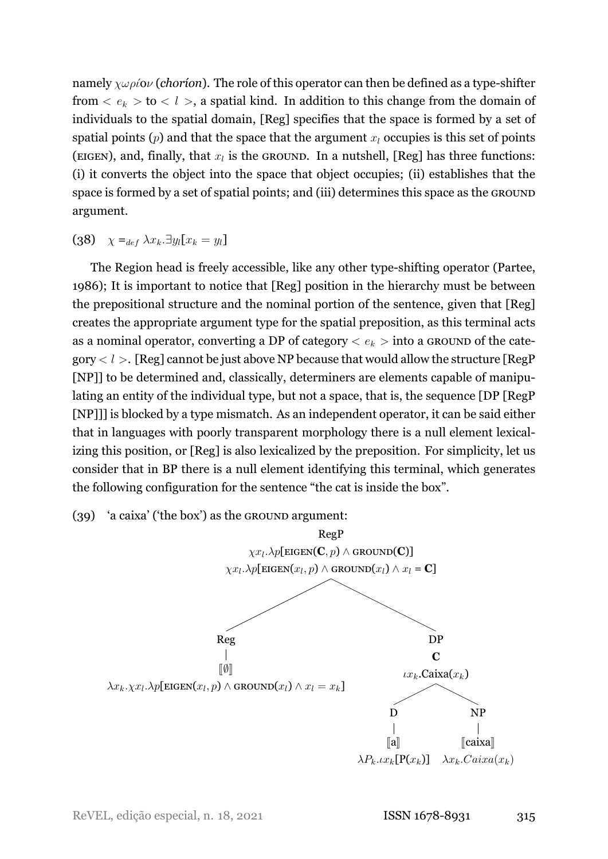namely  $\chi \omega \rho i \omega$  (*chorion*). The role of this operator can then be defined as a type-shifter from  $\langle e_k \rangle$  to  $\langle l \rangle$ , a spatial kind. In addition to this change from the domain of individuals to the spatial domain, [Reg] specifies that the space is formed by a set of spatial points (*p*) and that the space that the argument *x<sup>l</sup>* occupies is this set of points (EIGEN), and, finally, that  $x_l$  is the GROUND. In a nutshell, [Reg] has three functions: (i) it converts the object into the space that object occupies; (ii) establishes that the space is formed by a set of spatial points; and (iii) determines this space as the GROUND argument.

(38) *χ* =*def λxk.∃yl*[*x<sup>k</sup>* = *yl*]

The Region head is freely accessible, like any other type-shifting operator [\(Partee](#page-34-6), [1986\)](#page-34-6); It is important to notice that [Reg] position in the hierarchy must be between the prepositional structure and the nominal portion of the sentence, given that [Reg] creates the appropriate argument type for the spatial preposition, as this terminal acts as a nominal operator, converting a DP of category *< e<sup>k</sup> >* into a GROUND of the category  $< l$  >. [Reg] cannot be just above NP because that would allow the structure [RegP [NP]] to be determined and, classically, determiners are elements capable of manipulating an entity of the individual type, but not a space, that is, the sequence [DP [RegP [NP]]] is blocked by a type mismatch. As an independent operator, it can be said either that in languages with poorly transparent morphology there is a null element lexicalizing this position, or [Reg] is also lexicalized by the preposition. For simplicity, let us consider that in BP there is a null element identifying this terminal, which generates the following configuration for the sentence "the cat is inside the box".

### (39) 'a caixa' ('the box') as the GROUND argument:

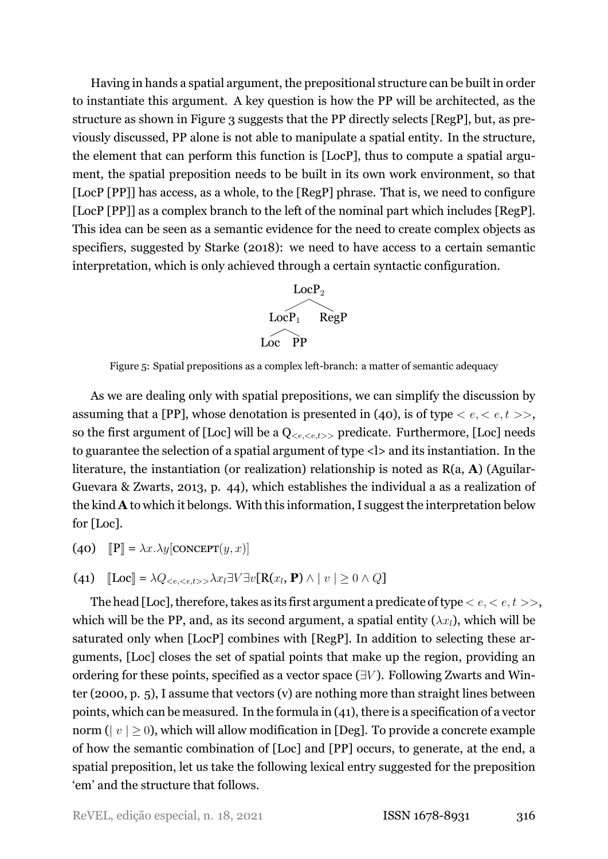Having in hands a spatial argument, the prepositional structure can be built in order to instantiate this argument. A key question is how the PP will be architected, as the structure as shown in Figure 3 suggests that the PP directly selects [RegP], but, as previously discussed, PP alone is not able to manipulate a spatial entity. In the structure, the element that can perform this function is [LocP], thus to compute a spatial argument, the spatial preposition needs to be built in its own work environment, so that [LocP [PP]] has access, as a whole, to the [RegP] phrase. That is, we need to configure [LocP [PP]] as a complex branch to the left of the nominal part which includes [RegP]. This idea can be seen as a semantic evidence for the need to create complex objects as specifiers, suggested by [Starke](#page-34-16) [\(2018](#page-34-16)): we need to have access to a certain semantic interpretation, which is only achieved through a certain syntactic configuration.



Figure 5: Spatial prepositions as a complex left-branch: a matter of semantic adequacy

As we are dealing only with spatial prepositions, we can simplify the discussion by assuming that a [PP], whose denotation is presented in([40\)](#page-28-0), is of type *< e, < e, t >>*, so the first argument of [Loc] will be a Q*<e,<e,t>>* predicate. Furthermore, [Loc] needs to guarantee the selection of a spatial argument of type <l> and its instantiation. In the literature, the instantiation (or realization) relationship is noted as R(a, **A**) (Aguilar-Guevara & Zwarts, [2013](#page-32-2), p. 44), which establishes the individual a as a realization of the kind **A** to which it belongs. With this information, I suggest the interpretation below for [Loc].

- <span id="page-28-0"></span>(40)  $\mathbb{P}$  =  $\lambda x.\lambda y$ [CONCEPT(*y, x*)]
- <span id="page-28-1"></span> $\textbf{(41)}$   $\text{[Loc]} = \lambda Q_{< e, < e, < > \lambda x} \exists V \exists v \text{[R}(x_l, \mathbf{P}) \wedge |v| \geq 0 \wedge Q \text{]}$

The head [Loc], therefore, takes as its first argument a predicate of type *< e, < e, t >>*, which will be the PP, and, as its second argument, a spatial entity  $(\lambda x_l)$ , which will be saturated only when [LocP] combines with [RegP]. In addition to selecting these arguments, [Loc] closes the set of spatial points that make up the region, providing an ordering for these points, specified as a vector space (*∃V* ). Following Zwarts and Winter([2000](#page-35-1), p. 5), I assume that vectors (v) are nothing more than straight lines between points, which can be measured. In the formula in([41\)](#page-28-1), there is a specification of a vector norm ( $|v| > 0$ ), which will allow modification in [Deg]. To provide a concrete example of how the semantic combination of [Loc] and [PP] occurs, to generate, at the end, a spatial preposition, let us take the following lexical entry suggested for the preposition 'em' and the structure that follows.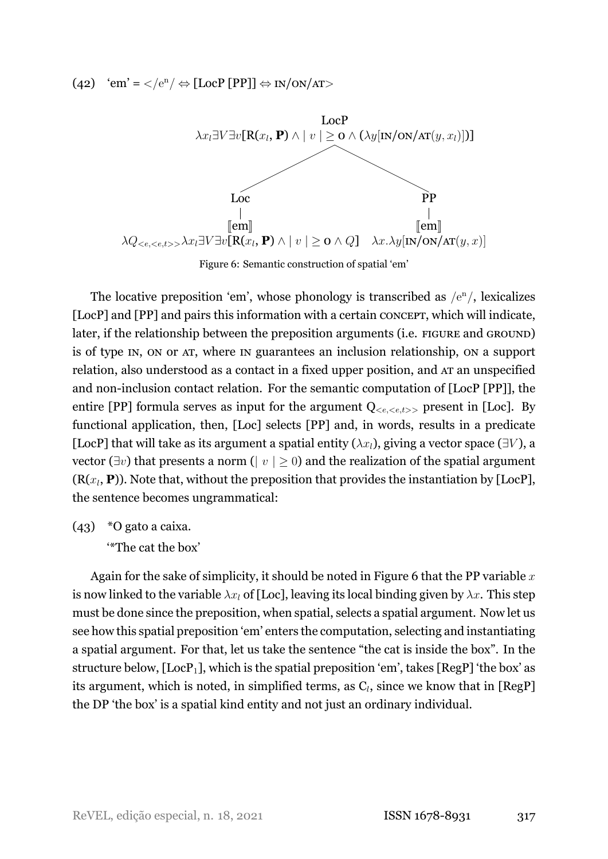<span id="page-29-0"></span>(42) 'em' = *<sup>&</sup>lt;*/e<sup>n</sup>/ *<sup>⇔</sup>* [LocP [PP]] *<sup>⇔</sup>* IN/ON/AT*<sup>&</sup>gt;*



Figure 6: Semantic construction of spatial 'em'

The locative preposition 'em', whose phonology is transcribed as  $/e^n/$ , lexicalizes [LocP] and [PP] and pairs this information with a certain CONCEPT, which will indicate, later, if the relationship between the preposition arguments (i.e. FIGURE and GROUND) is of type IN, ON or AT, where IN guarantees an inclusion relationship, ON a support relation, also understood as a contact in a fixed upper position, and AT an unspecified and non-inclusion contact relation. For the semantic computation of  $[LocP [PP]],$  the entire [PP] formula serves as input for the argument  $Q_{\leq e,\leq e,t}$  present in [Loc]. By functional application, then, [Loc] selects [PP] and, in words, results in a predicate [LocP] that will take as its argument a spatial entity  $(\lambda x_l)$ , giving a vector space ( $\exists V$ ), a vector (*∃v*) that presents a norm (*| v | ≥* 0) and the realization of the spatial argument  $(R(x_l, P))$ . Note that, without the preposition that provides the instantiation by [LocP], the sentence becomes ungrammatical:

(43) \*O gato a caixa.

'\*The cat the box'

Again for the sake of simplicity, it should be noted in Figure [6](#page-29-0) that the PP variable *x* is now linked to the variable  $\lambda x_l$  of [Loc], leaving its local binding given by  $\lambda x$ . This step must be done since the preposition, when spatial, selects a spatial argument. Now let us see how this spatial preposition 'em' enters the computation, selecting and instantiating a spatial argument. For that, let us take the sentence "the cat is inside the box". In the structure below,  $[LocP<sub>1</sub>]$ , which is the spatial preposition 'em', takes  $[RegP]$  'the box' as its argument, which is noted, in simplified terms, as  $\mathrm{C}_l$ , since we know that in [RegP] the DP 'the box' is a spatial kind entity and not just an ordinary individual.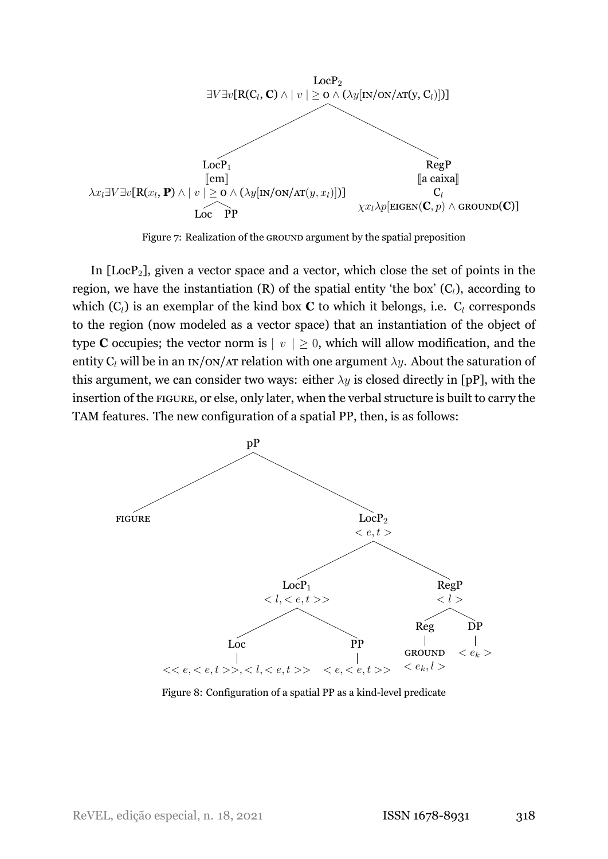

Figure 7: Realization of the GROUND argument by the spatial preposition

In  $[LocP<sub>2</sub>]$ , given a vector space and a vector, which close the set of points in the region, we have the instantiation  $(R)$  of the spatial entity 'the box'  $(C_l)$ , according to which  $(C_l)$  is an exemplar of the kind box **C** to which it belongs, i.e.  $C_l$  corresponds to the region (now modeled as a vector space) that an instantiation of the object of type **C** occupies; the vector norm is  $|v| \geq 0$ , which will allow modification, and the entity  $C_l$  will be in an IN/ON/AT relation with one argument  $\lambda y$ . About the saturation of this argument, we can consider two ways: either  $\lambda y$  is closed directly in [pP], with the insertion of the FIGURE, or else, only later, when the verbal structure is built to carry the TAM features. The new configuration of a spatial PP, then, is as follows:



Figure 8: Configuration of a spatial PP as a kind-level predicate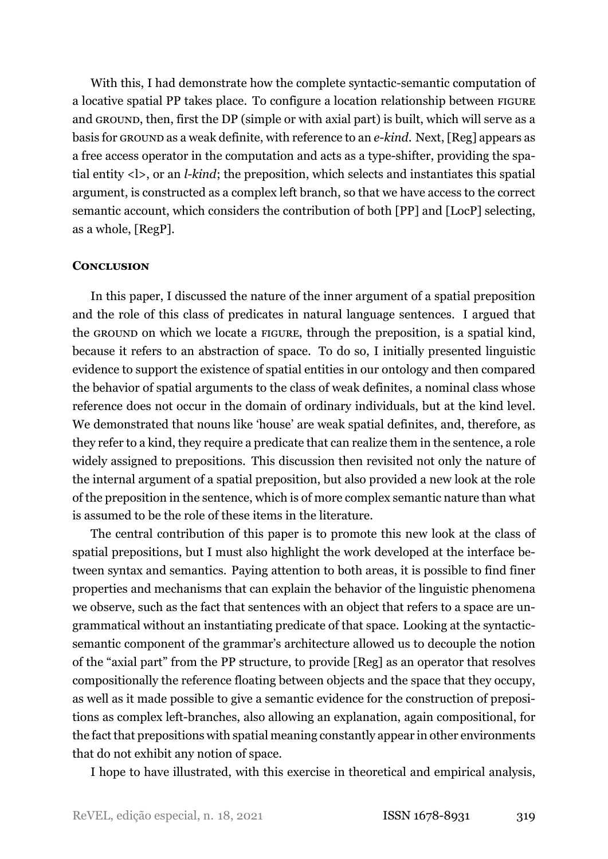With this, I had demonstrate how the complete syntactic-semantic computation of a locative spatial PP takes place. To configure a location relationship between FIGURE and GROUND, then, first the DP (simple or with axial part) is built, which will serve as a basis for GROUND as a weak definite, with reference to an *ekind*. Next, [Reg] appears as a free access operator in the computation and acts as a type-shifter, providing the spatial entity <l>, or an *l-kind*; the preposition, which selects and instantiates this spatial argument, is constructed as a complex left branch, so that we have access to the correct semantic account, which considers the contribution of both [PP] and [LocP] selecting, as a whole, [RegP].

### **CONCLUSION**

In this paper, I discussed the nature of the inner argument of a spatial preposition and the role of this class of predicates in natural language sentences. I argued that the GROUND on which we locate a FIGURE, through the preposition, is a spatial kind, because it refers to an abstraction of space. To do so, I initially presented linguistic evidence to support the existence of spatial entities in our ontology and then compared the behavior of spatial arguments to the class of weak definites, a nominal class whose reference does not occur in the domain of ordinary individuals, but at the kind level. We demonstrated that nouns like 'house' are weak spatial definites, and, therefore, as they refer to a kind, they require a predicate that can realize them in the sentence, a role widely assigned to prepositions. This discussion then revisited not only the nature of the internal argument of a spatial preposition, but also provided a new look at the role of the preposition in the sentence, which is of more complex semantic nature than what is assumed to be the role of these items in the literature.

The central contribution of this paper is to promote this new look at the class of spatial prepositions, but I must also highlight the work developed at the interface between syntax and semantics. Paying attention to both areas, it is possible to find finer properties and mechanisms that can explain the behavior of the linguistic phenomena we observe, such as the fact that sentences with an object that refers to a space are ungrammatical without an instantiating predicate of that space. Looking at the syntacticsemantic component of the grammar's architecture allowed us to decouple the notion of the "axial part" from the PP structure, to provide [Reg] as an operator that resolves compositionally the reference floating between objects and the space that they occupy, as well as it made possible to give a semantic evidence for the construction of prepositions as complex left-branches, also allowing an explanation, again compositional, for the fact that prepositions with spatial meaning constantly appear in other environments that do not exhibit any notion of space.

I hope to have illustrated, with this exercise in theoretical and empirical analysis,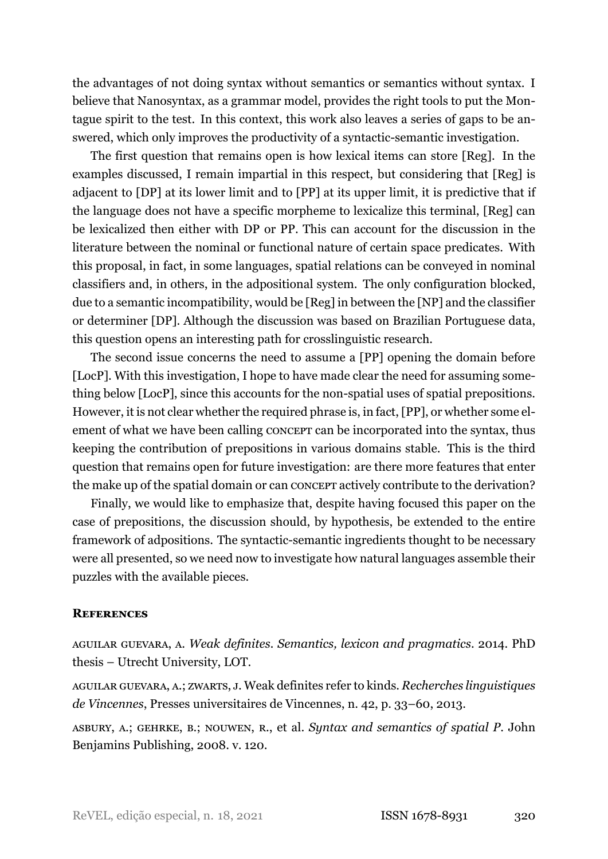the advantages of not doing syntax without semantics or semantics without syntax. I believe that Nanosyntax, as a grammar model, provides the right tools to put the Montague spirit to the test. In this context, this work also leaves a series of gaps to be answered, which only improves the productivity of a syntactic-semantic investigation.

The first question that remains open is how lexical items can store [Reg]. In the examples discussed, I remain impartial in this respect, but considering that [Reg] is adjacent to [DP] at its lower limit and to [PP] at its upper limit, it is predictive that if the language does not have a specific morpheme to lexicalize this terminal, [Reg] can be lexicalized then either with DP or PP. This can account for the discussion in the literature between the nominal or functional nature of certain space predicates. With this proposal, in fact, in some languages, spatial relations can be conveyed in nominal classifiers and, in others, in the adpositional system. The only configuration blocked, due to a semantic incompatibility, would be [Reg] in between the [NP] and the classifier or determiner [DP]. Although the discussion was based on Brazilian Portuguese data, this question opens an interesting path for crosslinguistic research.

The second issue concerns the need to assume a [PP] opening the domain before [LocP]. With this investigation, I hope to have made clear the need for assuming something below [LocP], since this accounts for the non-spatial uses of spatial prepositions. However, it is not clear whether the required phrase is, in fact, [PP], or whether some element of what we have been calling CONCEPT can be incorporated into the syntax, thus keeping the contribution of prepositions in various domains stable. This is the third question that remains open for future investigation: are there more features that enter the make up of the spatial domain or can CONCEPT actively contribute to the derivation?

Finally, we would like to emphasize that, despite having focused this paper on the case of prepositions, the discussion should, by hypothesis, be extended to the entire framework of adpositions. The syntactic-semantic ingredients thought to be necessary were all presented, so we need now to investigate how natural languages assemble their puzzles with the available pieces.

## **REFERENCES**

<span id="page-32-1"></span>AGUILAR GUEVARA, A. *Weak definites. Semantics, lexicon and pragmatics*. 2014. PhD thesis – Utrecht University, LOT.

<span id="page-32-2"></span>AGUILAR GUEVARA, A.; ZWARTS, J. Weak definites refer to kinds. *Recherches linguistiques de Vincennes*, Presses universitaires de Vincennes, n. 42, p. 33–60, 2013.

<span id="page-32-0"></span>ASBURY, A.; GEHRKE, B.; NOUWEN, R., et al. *Syntax and semantics of spatial P*. John Benjamins Publishing, 2008. v. 120.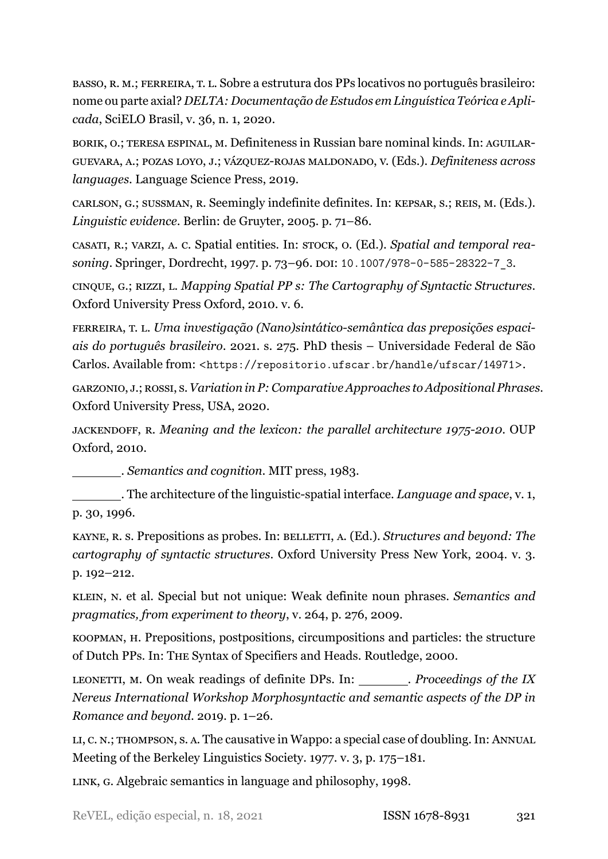<span id="page-33-7"></span>BASSO, R. M.; FERREIRA, T. L. Sobre a estrutura dos PPs locativos no português brasileiro: nome ou parte axial? *DELTA: Documentação de Estudos em Linguística Teórica e Aplicada*, SciELO Brasil, v. 36, n. 1, 2020.

<span id="page-33-15"></span>BORIK, O.; TERESA ESPINAL, M. Definiteness in Russian bare nominal kinds. In: AGUILAR-GUEVARA, A.; POZAS LOYO, J.; VÁZQUEZ-ROJAS MALDONADO, V. (Eds.). *Definiteness across languages*. Language Science Press, 2019.

<span id="page-33-0"></span>CARLSON, G.; SUSSMAN, R. Seemingly indefinite definites. In: KEPSAR, S.; REIS, M. (Eds.). *Linguistic evidence*. Berlin: de Gruyter, 2005. p. 71–86.

<span id="page-33-9"></span>CASATI, R.; VARZI, A. C. Spatial entities. In: STOCK, O. (Ed.). *Spatial and temporal reasoning*. Springer, Dordrecht, 1997. p. 73–96. DOI: [10.1007/978-0-585-28322-7\\_3](https://doi.org/10.1007/978-0-585-28322-7_3).

<span id="page-33-1"></span>CINQUE, G.; RIZZI, L. *Mapping Spatial PP s: The Cartography of Syntactic Structures*. Oxford University Press Oxford, 2010. v. 6.

<span id="page-33-4"></span>FERREIRA, T. L. Uma investigação (Nano)sintático-semântica das preposições espaci*ais do português brasileiro*. 2021. s. 275. PhD thesis – Universidade Federal de São Carlos. Available from: <<https://repositorio.ufscar.br/handle/ufscar/14971>>.

<span id="page-33-2"></span>GARZONIO, J.; ROSSI, S.*Variation in P: Comparative Approaches to Adpositional Phrases*. Oxford University Press, USA, 2020.

<span id="page-33-14"></span>JACKENDOFF, R. *Meaning and the lexicon: the parallel architecture 1975-2010*. OUP Oxford, 2010.

<span id="page-33-3"></span>. *Semantics and cognition*. MIT press, 1983.

<span id="page-33-6"></span>. The architecture of the linguistic-spatial interface. *Language and space*, v. 1, p. 30, 1996.

<span id="page-33-13"></span>KAYNE, R. S. Prepositions as probes. In: BELLETTI, A. (Ed.). *Structures and beyond: The cartography of syntactic structures*. Oxford University Press New York, 2004. v. 3. p. 192–212.

<span id="page-33-12"></span>KLEIN, N. et al. Special but not unique: Weak definite noun phrases. *Semantics and pragmatics, from experiment to theory*, v. 264, p. 276, 2009.

<span id="page-33-5"></span>KOOPMAN, H. Prepositions, postpositions, circumpositions and particles: the structure of Dutch PPs. In: THE Syntax of Specifiers and Heads. Routledge, 2000.

<span id="page-33-11"></span>LEONETTI, M. On weak readings of definite DPs. In: . *Proceedings of the IX Nereus International Workshop Morphosyntactic and semantic aspects of the DP in Romance and beyond*. 2019. p. 1–26.

<span id="page-33-10"></span>LI, C. N.; THOMPSON, S. A. The causative in Wappo: a special case of doubling. In: ANNUAL Meeting of the Berkeley Linguistics Society. 1977. v. 3, p. 175–181.

<span id="page-33-8"></span>LINK, G. Algebraic semantics in language and philosophy, 1998.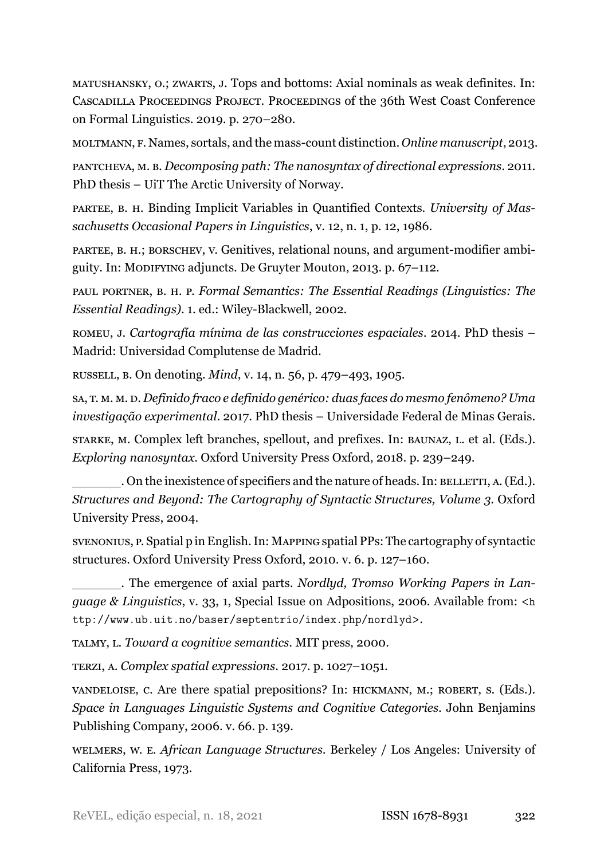<span id="page-34-7"></span>MATUSHANSKY, O.; ZWARTS, J. Tops and bottoms: Axial nominals as weak definites. In: CASCADILLA PROCEEDINGS PROJECT. PROCEEDINGS of the 36th West Coast Conference on Formal Linguistics. 2019. p. 270–280.

<span id="page-34-9"></span>MOLTMANN, F. Names, sortals, and the mass-count distinction. *Online manuscript*, 2013.

<span id="page-34-3"></span>PANTCHEVA, M. B. *Decomposing path: The nanosyntax of directional expressions*. 2011. PhD thesis – UiT The Arctic University of Norway.

<span id="page-34-6"></span>PARTEE, B. H. Binding Implicit Variables in Quantified Contexts. *University of Massachusetts Occasional Papers in Linguistics*, v. 12, n. 1, p. 12, 1986.

<span id="page-34-14"></span>PARTEE, B. H.; BORSCHEV, V. Genitives, relational nouns, and argument-modifier ambiguity. In: MODIFYING adjuncts. De Gruyter Mouton, 2013. p. 67–112.

<span id="page-34-13"></span>PAUL PORTNER, B. H. P. *Formal Semantics: The Essential Readings (Linguistics: The Essential Readings).* 1. ed.: Wiley-Blackwell, 2002.

<span id="page-34-0"></span>ROMEU, J. *Cartografía mínima de las construcciones espaciales*. 2014. PhD thesis – Madrid: Universidad Complutense de Madrid.

<span id="page-34-11"></span>RUSSELL, B. On denoting. *Mind*, v. 14, n. 56, p. 479–493, 1905.

<span id="page-34-12"></span>SA, T. M. M. D. *Definido fraco e definido genérico: duas faces do mesmo fenômeno? Uma investigação experimental*. 2017. PhD thesis – Universidade Federal de Minas Gerais.

<span id="page-34-16"></span>STARKE, M. Complex left branches, spellout, and prefixes. In: BAUNAZ, L. et al. (Eds.). *Exploring nanosyntax*. Oxford University Press Oxford, 2018. p. 239–249.

<span id="page-34-15"></span>. On the inexistence of specifiers and the nature of heads. In: BELLETTI, A. (Ed.). *Structures and Beyond: The Cartography of Syntactic Structures, Volume 3*. Oxford University Press, 2004.

<span id="page-34-2"></span>SVENONIUS, P. Spatial p in English. In: MAPPING spatial PPs: The cartography of syntactic structures. Oxford University Press Oxford, 2010. v. 6. p. 127–160.

<span id="page-34-1"></span>. The emergence of axial parts. *Nordlyd, Tromso Working Papers in Language & Linguistics*, v. 33, 1, Special Issue on Adpositions, 2006. Available from: <[h](http://www.ub.uit.no/baser/septentrio/index.php/nordlyd) [ttp://www.ub.uit.no/baser/septentrio/index.php/nordlyd](http://www.ub.uit.no/baser/septentrio/index.php/nordlyd)>.

<span id="page-34-4"></span>TALMY, L. *Toward a cognitive semantics*. MIT press, 2000.

<span id="page-34-5"></span>TERZI, A. *Complex spatial expressions*. 2017. p. 1027–1051.

<span id="page-34-8"></span>VANDELOISE, C. Are there spatial prepositions? In: HICKMANN, M.; ROBERT, S. (Eds.). *Space in Languages Linguistic Systems and Cognitive Categories*. John Benjamins Publishing Company, 2006. v. 66. p. 139.

<span id="page-34-10"></span>WELMERS, W. E. *African Language Structures*. Berkeley / Los Angeles: University of California Press, 1973.